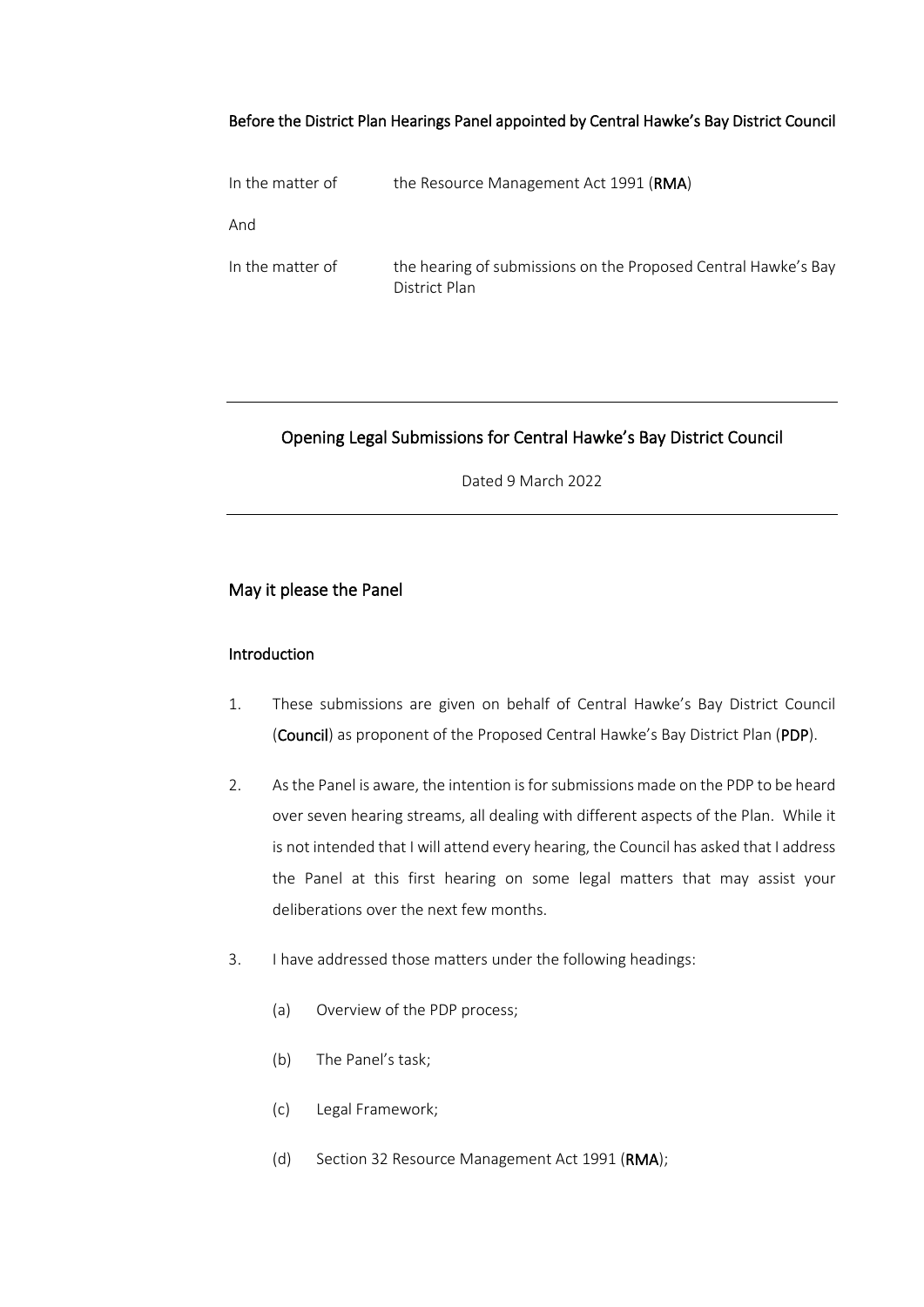#### Before the District Plan Hearings Panel appointed by Central Hawke's Bay District Council

| In the matter of | the Resource Management Act 1991 ( <b>RMA</b> )                                 |
|------------------|---------------------------------------------------------------------------------|
| And              |                                                                                 |
| In the matter of | the hearing of submissions on the Proposed Central Hawke's Bay<br>District Plan |

#### Opening Legal Submissions for Central Hawke's Bay District Council

Dated 9 March 2022

## May it please the Panel

#### **Introduction**

- 1. These submissions are given on behalf of Central Hawke's Bay District Council (Council) as proponent of the Proposed Central Hawke's Bay District Plan (PDP).
- 2. As the Panel is aware, the intention is for submissions made on the PDP to be heard over seven hearing streams, all dealing with different aspects of the Plan. While it is not intended that I will attend every hearing, the Council has asked that I address the Panel at this first hearing on some legal matters that may assist your deliberations over the next few months.
- 3. I have addressed those matters under the following headings:
	- (a) Overview of the PDP process;
	- (b) The Panel's task;
	- (c) Legal Framework;
	- (d) Section 32 Resource Management Act 1991 (RMA);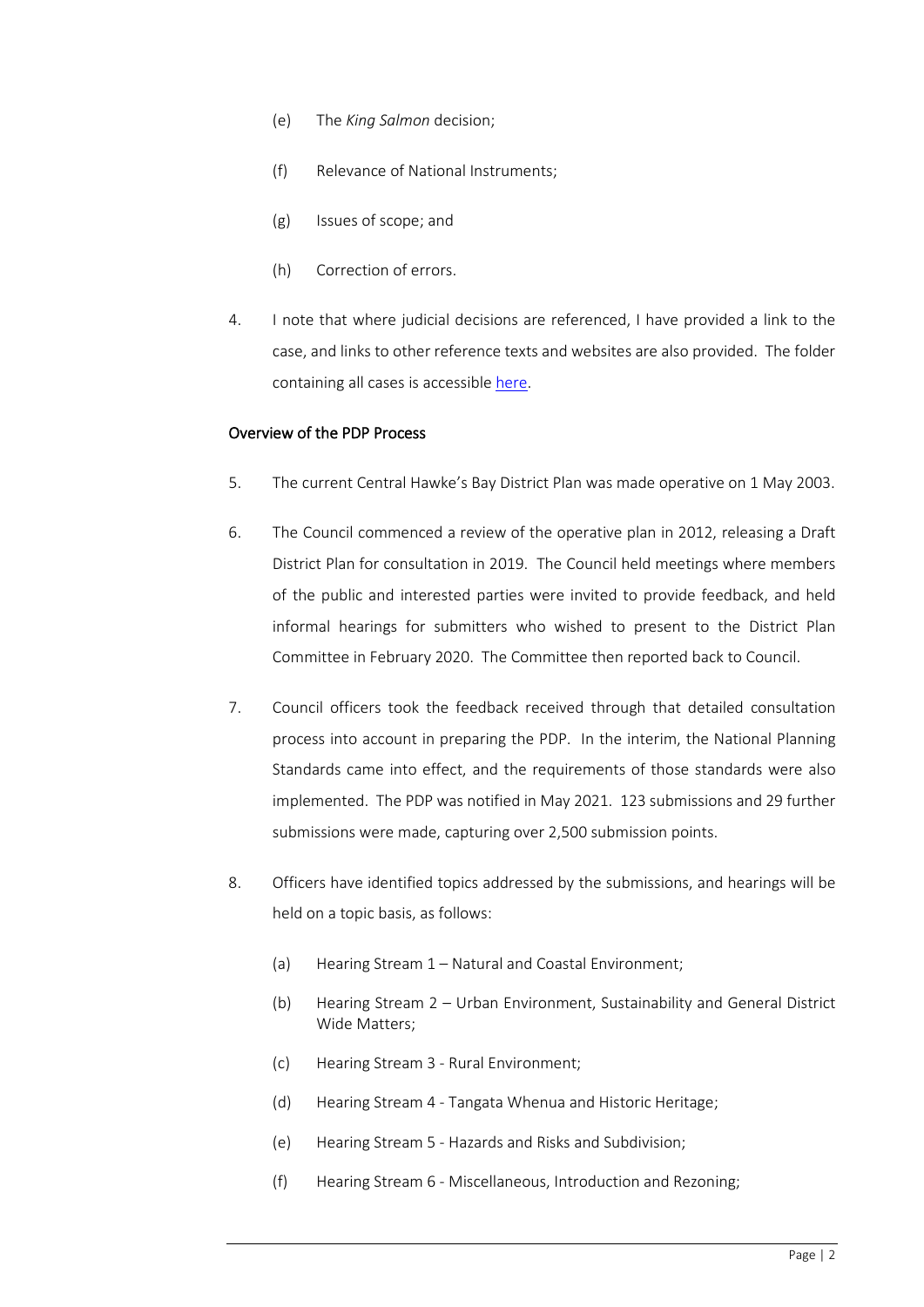- (e) The *King Salmon* decision;
- (f) Relevance of National Instruments;
- (g) Issues of scope; and
- (h) Correction of errors.
- 4. I note that where judicial decisions are referenced, I have provided a link to the case, and links to other reference texts and websites are also provided. The folder containing all cases is accessibl[e here.](https://matthewcasey-my.sharepoint.com/:f:/g/personal/asher_casey_co_nz/Ej7LhH0X6hZAoFnkdF7-w0kBH8C0JdX7fUfwYYF-B6u3xA?e=RaXUOL)

#### Overview of the PDP Process

- 5. The current Central Hawke's Bay District Plan was made operative on 1 May 2003.
- 6. The Council commenced a review of the operative plan in 2012, releasing a Draft District Plan for consultation in 2019. The Council held meetings where members of the public and interested parties were invited to provide feedback, and held informal hearings for submitters who wished to present to the District Plan Committee in February 2020. The Committee then reported back to Council.
- 7. Council officers took the feedback received through that detailed consultation process into account in preparing the PDP. In the interim, the National Planning Standards came into effect, and the requirements of those standards were also implemented. The PDP was notified in May 2021. 123 submissions and 29 further submissions were made, capturing over 2,500 submission points.
- 8. Officers have identified topics addressed by the submissions, and hearings will be held on a topic basis, as follows:
	- (a) Hearing Stream 1 Natural and Coastal Environment;
	- (b) Hearing Stream 2 Urban Environment, Sustainability and General District Wide Matters;
	- (c) Hearing Stream 3 Rural Environment;
	- (d) Hearing Stream 4 Tangata Whenua and Historic Heritage;
	- (e) Hearing Stream 5 Hazards and Risks and Subdivision;
	- (f) Hearing Stream 6 Miscellaneous, Introduction and Rezoning;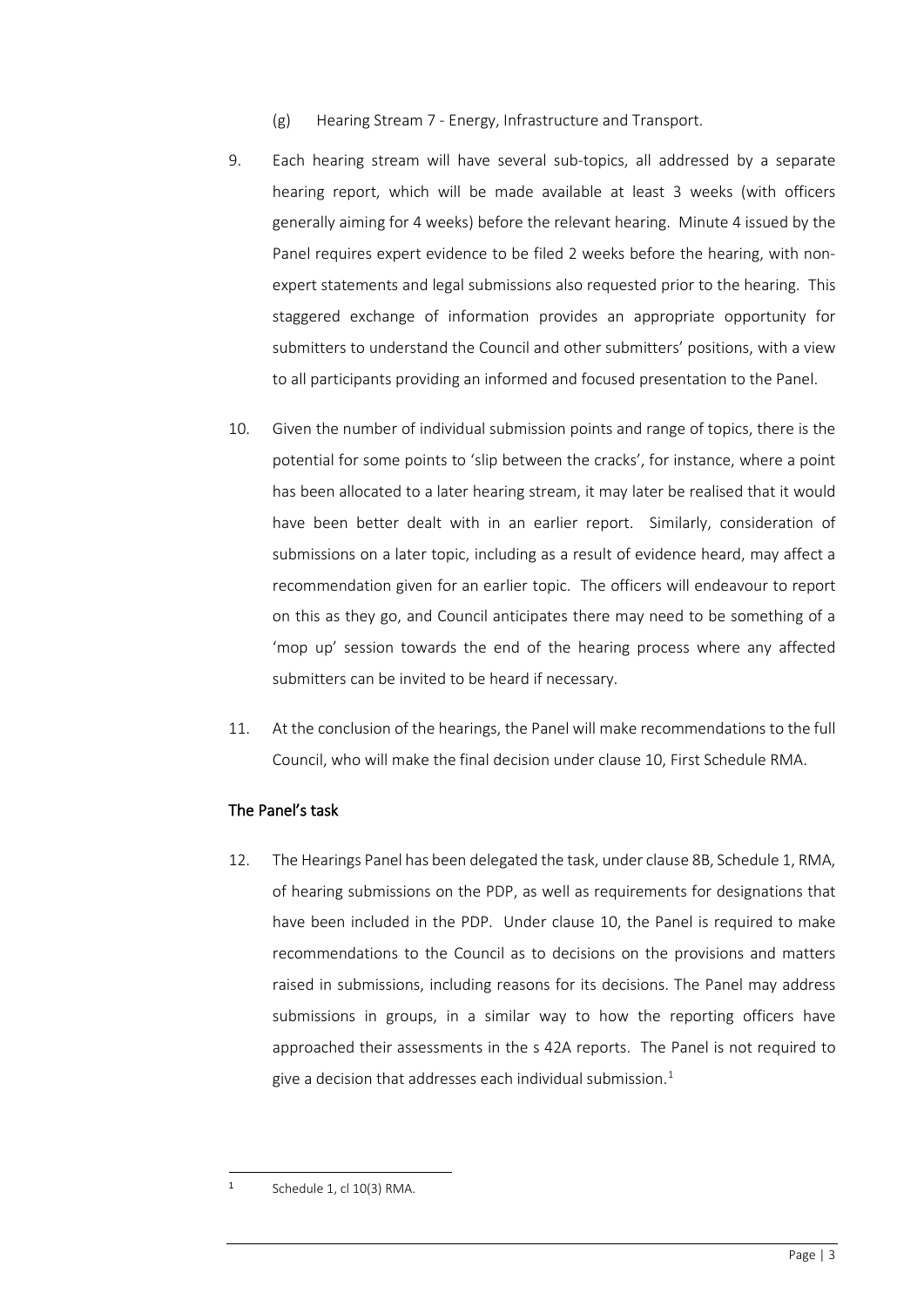- (g) Hearing Stream 7 Energy, Infrastructure and Transport.
- 9. Each hearing stream will have several sub-topics, all addressed by a separate hearing report, which will be made available at least 3 weeks (with officers generally aiming for 4 weeks) before the relevant hearing. Minute 4 issued by the Panel requires expert evidence to be filed 2 weeks before the hearing, with nonexpert statements and legal submissions also requested prior to the hearing. This staggered exchange of information provides an appropriate opportunity for submitters to understand the Council and other submitters' positions, with a view to all participants providing an informed and focused presentation to the Panel.
- 10. Given the number of individual submission points and range of topics, there is the potential for some points to 'slip between the cracks', for instance, where a point has been allocated to a later hearing stream, it may later be realised that it would have been better dealt with in an earlier report. Similarly, consideration of submissions on a later topic, including as a result of evidence heard, may affect a recommendation given for an earlier topic. The officers will endeavour to report on this as they go, and Council anticipates there may need to be something of a 'mop up' session towards the end of the hearing process where any affected submitters can be invited to be heard if necessary.
- 11. At the conclusion of the hearings, the Panel will make recommendations to the full Council, who will make the final decision under clause 10, First Schedule RMA.

#### The Panel's task

12. The Hearings Panel has been delegated the task, under clause 8B, Schedule 1, RMA, of hearing submissions on the PDP, as well as requirements for designations that have been included in the PDP. Under clause 10, the Panel is required to make recommendations to the Council as to decisions on the provisions and matters raised in submissions, including reasons for its decisions. The Panel may address submissions in groups, in a similar way to how the reporting officers have approached their assessments in the s 42A reports. The Panel is not required to give a decision that addresses each individual submission. $^{\rm 1}$  $^{\rm 1}$  $^{\rm 1}$ 

<span id="page-2-0"></span>

Schedule 1, cl 10(3) RMA.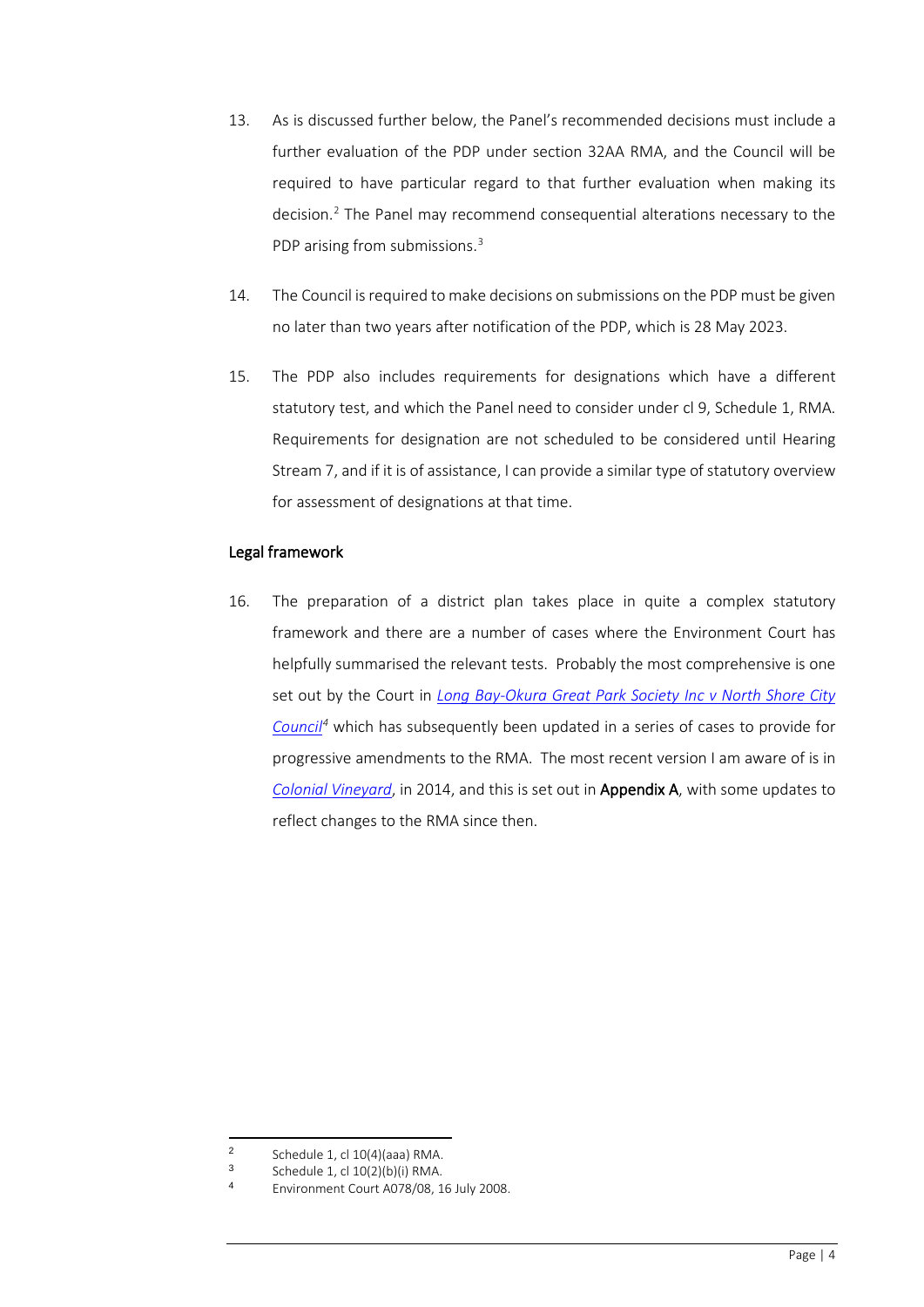- 13. As is discussed further below, the Panel's recommended decisions must include a further evaluation of the PDP under section 32AA RMA, and the Council will be required to have particular regard to that further evaluation when making its decision.[2](#page-3-0) The Panel may recommend consequential alterations necessary to the PDP arising from submissions.<sup>[3](#page-3-1)</sup>
- 14. The Council is required to make decisions on submissions on the PDP must be given no later than two years after notification of the PDP, which is 28 May 2023.
- 15. The PDP also includes requirements for designations which have a different statutory test, and which the Panel need to consider under cl 9, Schedule 1, RMA. Requirements for designation are not scheduled to be considered until Hearing Stream 7, and if it is of assistance, I can provide a similar type of statutory overview for assessment of designations at that time.

#### Legal framework

16. The preparation of a district plan takes place in quite a complex statutory framework and there are a number of cases where the Environment Court has helpfully summarised the relevant tests. Probably the most comprehensive is one set out by the Court in *[Long Bay-Okura Great Park Society Inc v North Shore City](https://matthewcasey-my.sharepoint.com/:b:/g/personal/asher_casey_co_nz/EYKuCPQ85flBoEaB3K8lUdUB5c7VHJQYjate5I3rY6_w5Q?e=uXtdoe)  [Council](https://matthewcasey-my.sharepoint.com/:b:/g/personal/asher_casey_co_nz/EYKuCPQ85flBoEaB3K8lUdUB5c7VHJQYjate5I3rY6_w5Q?e=uXtdoe)[4](#page-3-2)* which has subsequently been updated in a series of cases to provide for progressive amendments to the RMA. The most recent version I am aware of is in *[Colonial Vineyard](https://matthewcasey-my.sharepoint.com/:b:/g/personal/asher_casey_co_nz/EaBK4vgQLdlElcXgTo0DvNoBT-NM-N-J_qRAMHeXUrO9MQ?e=y43VOP)*, in 2014, and this is set out in Appendix A, with some updates to reflect changes to the RMA since then.

<sup>2</sup> Schedule 1, cl  $10(4)(a$ aa) RMA.<br>3 Schedule 1, cl  $10(2)(b)(i)$  PMA.

<span id="page-3-2"></span><span id="page-3-1"></span><span id="page-3-0"></span> $3$  Schedule 1, cl  $10(2)(b)(i)$  RMA.

Environment Court A078/08, 16 July 2008.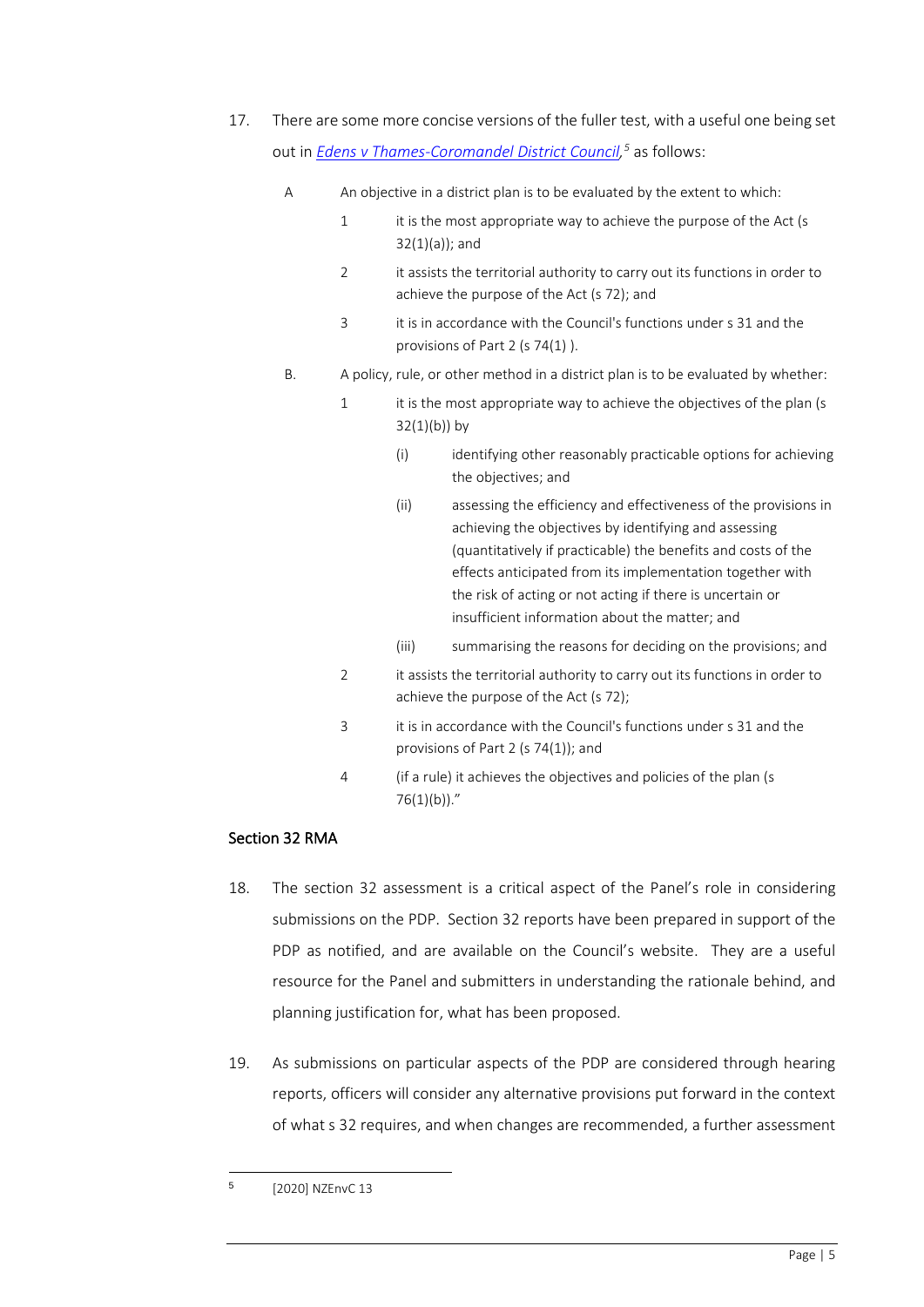- 17. There are some more concise versions of the fuller test, with a useful one being set out in *[Edens v Thames-Coromandel District Council,](https://matthewcasey-my.sharepoint.com/:b:/g/personal/asher_casey_co_nz/EZbjSq1cPg9Ir6890GhRRyQBynBmaiXKhJDdTHK9CLfWjQ?e=6EGJhf) [5](#page-4-0)* as follows:
	- A An objective in a district plan is to be evaluated by the extent to which:
		- 1 it is the most appropriate way to achieve the purpose of the Act (s 32(1)(a)); and
		- 2 it assists the territorial authority to carry out its functions in order to achieve the purpose of the Act (s 72); and
		- 3 it is in accordance with the Council's functions under s 31 and the provisions of Part 2 (s 74(1) ).
	- B. A policy, rule, or other method in a district plan is to be evaluated by whether:
		- 1 it is the most appropriate way to achieve the objectives of the plan (s  $32(1)(b)$ ) by
			- (i) identifying other reasonably practicable options for achieving the objectives; and
			- (ii) assessing the efficiency and effectiveness of the provisions in achieving the objectives by identifying and assessing (quantitatively if practicable) the benefits and costs of the effects anticipated from its implementation together with the risk of acting or not acting if there is uncertain or insufficient information about the matter; and
			- (iii) summarising the reasons for deciding on the provisions; and
		- 2 it assists the territorial authority to carry out its functions in order to achieve the purpose of the Act (s 72);
		- 3 it is in accordance with the Council's functions under s 31 and the provisions of Part 2 (s 74(1)); and
		- 4 (if a rule) it achieves the objectives and policies of the plan (s  $76(1)(b)$ ."

## Section 32 RMA

- 18. The section 32 assessment is a critical aspect of the Panel's role in considering submissions on the PDP. Section 32 reports have been prepared in support of the PDP as notified, and are available on the Council's website. They are a useful resource for the Panel and submitters in understanding the rationale behind, and planning justification for, what has been proposed.
- 19. As submissions on particular aspects of the PDP are considered through hearing reports, officers will consider any alternative provisions put forward in the context of what s 32 requires, and when changes are recommended, a further assessment

<span id="page-4-0"></span><sup>5</sup> [2020] NZEnvC 13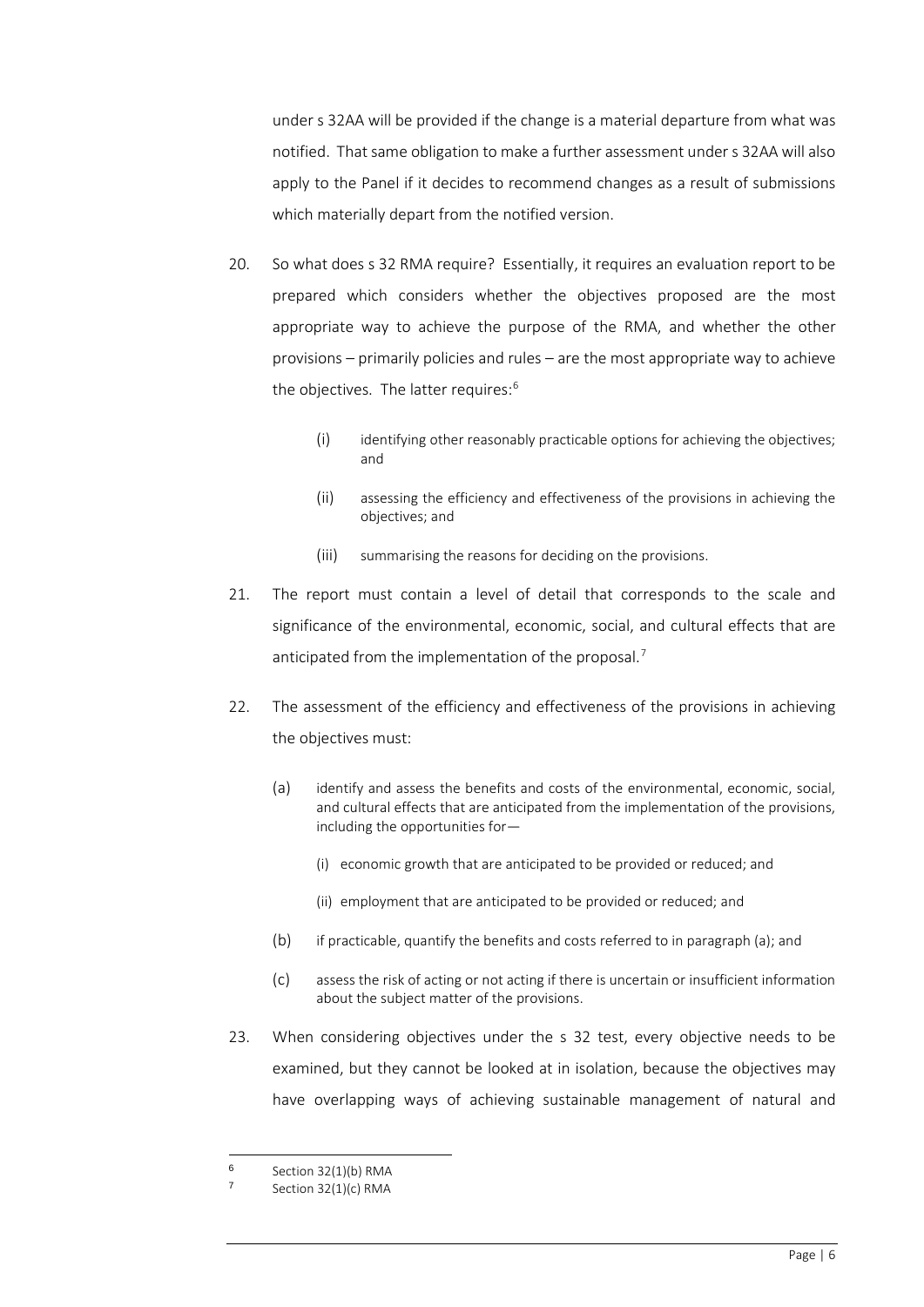under s 32AA will be provided if the change is a material departure from what was notified. That same obligation to make a further assessment under s 32AA will also apply to the Panel if it decides to recommend changes as a result of submissions which materially depart from the notified version.

- 20. So what does s 32 RMA require? Essentially, it requires an evaluation report to be prepared which considers whether the objectives proposed are the most appropriate way to achieve the purpose of the RMA, and whether the other provisions – primarily policies and rules – are the most appropriate way to achieve the objectives. The latter requires:<sup>[6](#page-5-0)</sup>
	- $(i)$  identifying other reasonably practicable options for achieving the objectives; and
	- (ii) assessing the efficiency and effectiveness of the provisions in achieving the objectives; and
	- (iii) summarising the reasons for deciding on the provisions.
- 21. The report must contain a level of detail that corresponds to the scale and significance of the environmental, economic, social, and cultural effects that are anticipated from the implementation of the proposal.<sup>[7](#page-5-1)</sup>
- 22. The assessment of the efficiency and effectiveness of the provisions in achieving the objectives must:
	- (a) identify and assess the benefits and costs of the environmental, economic, social, and cultural effects that are anticipated from the implementation of the provisions, including the opportunities for—
		- (i) economic growth that are anticipated to be provided or reduced; and
		- (ii) employment that are anticipated to be provided or reduced; and
	- (b) if practicable, quantify the benefits and costs referred to in paragraph (a); and
	- (c) assess the risk of acting or not acting if there is uncertain or insufficient information about the subject matter of the provisions.
- 23. When considering objectives under the s 32 test, every objective needs to be examined, but they cannot be looked at in isolation, because the objectives may have overlapping ways of achieving sustainable management of natural and

<span id="page-5-0"></span> $6$  Section 32(1)(b) RMA

<span id="page-5-1"></span>Section 32(1)(c) RMA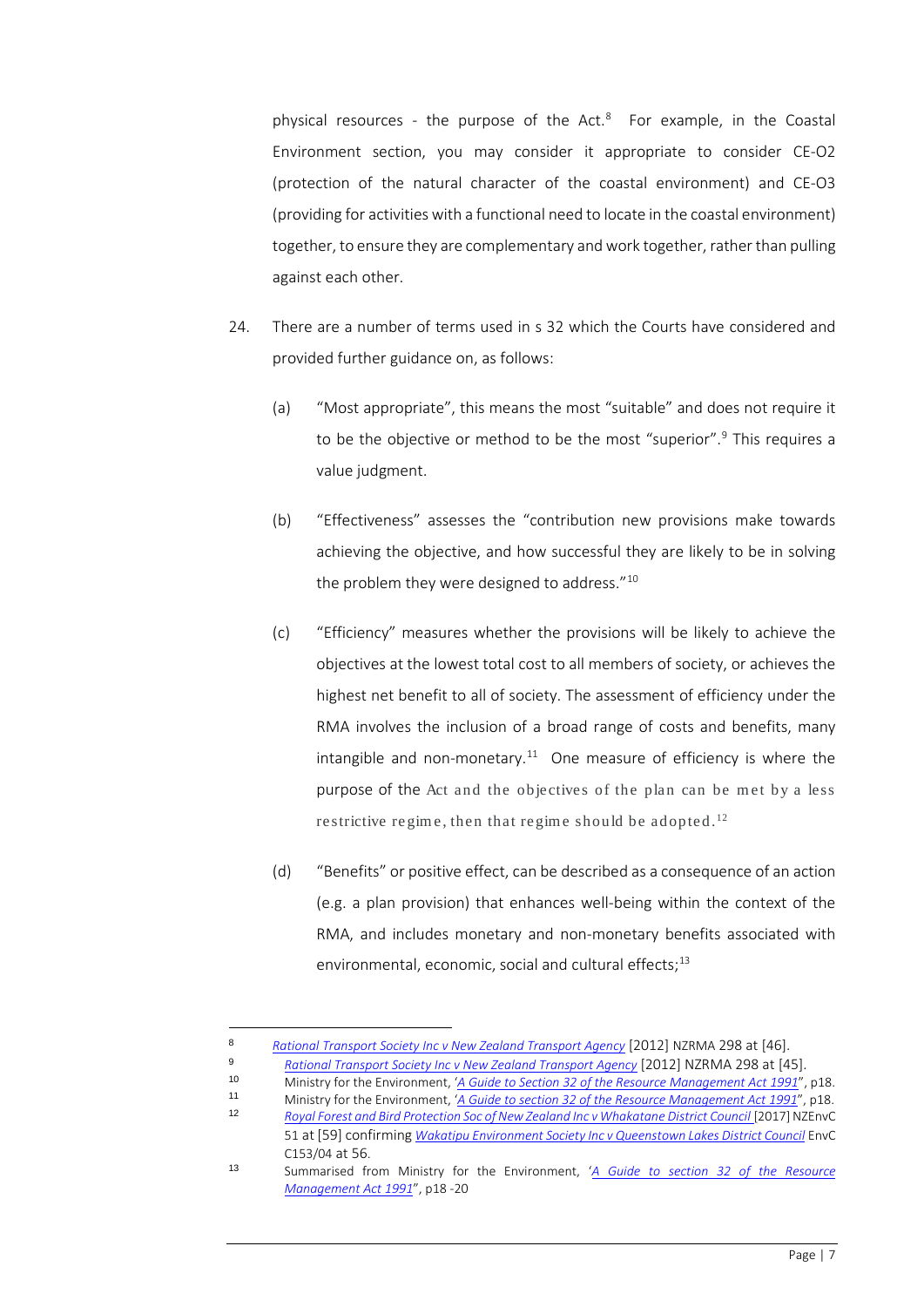physical resources - the purpose of the Act.<sup>8</sup> For example, in the Coastal Environment section, you may consider it appropriate to consider CE-O2 (protection of the natural character of the coastal environment) and CE-O3 (providing for activities with a functional need to locate in the coastal environment) together, to ensure they are complementary and work together, rather than pulling against each other.

- 24. There are a number of terms used in s 32 which the Courts have considered and provided further guidance on, as follows:
	- (a) "Most appropriate", this means the most "suitable" and does not require it to be the objective or method to be the most "superior".<sup>[9](#page-6-1)</sup> This requires a value judgment.
	- (b) "Effectiveness" assesses the "contribution new provisions make towards achieving the objective, and how successful they are likely to be in solving the problem they were designed to address."<sup>[10](#page-6-2)</sup>
	- (c) "Efficiency" measures whether the provisions will be likely to achieve the objectives at the lowest total cost to all members of society, or achieves the highest net benefit to all of society. The assessment of efficiency under the RMA involves the inclusion of a broad range of costs and benefits, many intangible and non-monetary.<sup>11</sup> One measure of efficiency is where the purpose of the Act and the objectives of the plan can be met by a less restrictive regime, then that regime should be adopted.<sup>[12](#page-6-4)</sup>
	- (d) "Benefits" or positive effect, can be described as a consequence of an action (e.g. a plan provision) that enhances well-being within the context of the RMA, and includes monetary and non-monetary benefits associated with environmental, economic, social and cultural effects;<sup>[13](#page-6-5)</sup>

<span id="page-6-0"></span><sup>8</sup> *[Rational Transport Society Inc v New Zealand Transport Agency](https://matthewcasey-my.sharepoint.com/:b:/g/personal/asher_casey_co_nz/EdNop7zWiK9OhcIEn9P1DNgBivOte0ASJW-leDzAK5TQyg?e=1uLdAm)* [2012] NZRMA 298 at [46].

<span id="page-6-1"></span><sup>9</sup> **[Rational Transport Society Inc v New Zealand Transport Agency](https://matthewcasey-my.sharepoint.com/:b:/g/personal/asher_casey_co_nz/EdNop7zWiK9OhcIEn9P1DNgBivOte0ASJW-leDzAK5TQyg?e=1uLdAm)** [2012] NZRMA 298 at [45].

<span id="page-6-2"></span><sup>10</sup> Ministry for the Environment, *'<u>[A Guide to Section 32 of the Resource Management Act 1991](https://matthewcasey-my.sharepoint.com/:b:/g/personal/asher_casey_co_nz/EeEPRXQ0PRtKlyiPyWM6HeEBCDGR7DnxmLglgK62sikL2g?e=ks3hkt)</u>", p18.<br>11 Ministry for the Environment <i>'A Guide to section 32 of the Resource Management Act 1991*", p18.

<span id="page-6-4"></span><span id="page-6-3"></span><sup>11</sup> Ministry for the Environment, '<u>*[A Guide to section 32 of the Resource Management Act 1991](https://matthewcasey-my.sharepoint.com/:b:/g/personal/asher_casey_co_nz/EeEPRXQ0PRtKlyiPyWM6HeEBCDGR7DnxmLglgK62sikL2g?e=ks3hkt)''*, p18.<br>12 Pavel Ferest and Ried Bratestian Second New Zeeland Inou Whalestane District Council 19917LNT puC</u> <sup>12</sup> *[Royal Forest and Bird Protection Soc of New Zealand Inc v Whakatane District Council](https://matthewcasey-my.sharepoint.com/:b:/g/personal/asher_casey_co_nz/EahNR5RWtvRMj0xVetxTFrQB53yZUIvLYpVjrfWMF4gWFg?e=OMsnaU)* [2017] NZEnvC

<sup>51</sup> at [59] confirming *[Wakatipu Environment Society Inc v Queenstown Lakes District Council](https://matthewcasey-my.sharepoint.com/:b:/g/personal/asher_casey_co_nz/EZVXtMs_mQhCrE9LKijJ9jIBvWJ3GYKrUrh-sztED3mMuA?e=cKLYm9)* EnvC C153/04 at 56.

<span id="page-6-5"></span><sup>13</sup> Summarised from Ministry for the Environment, '*[A Guide to section 32 of the Resource](https://matthewcasey-my.sharepoint.com/:b:/g/personal/asher_casey_co_nz/EeEPRXQ0PRtKlyiPyWM6HeEBCDGR7DnxmLglgK62sikL2g?e=ks3hkt)  [Management Act 1991](https://matthewcasey-my.sharepoint.com/:b:/g/personal/asher_casey_co_nz/EeEPRXQ0PRtKlyiPyWM6HeEBCDGR7DnxmLglgK62sikL2g?e=ks3hkt)*", p18 -20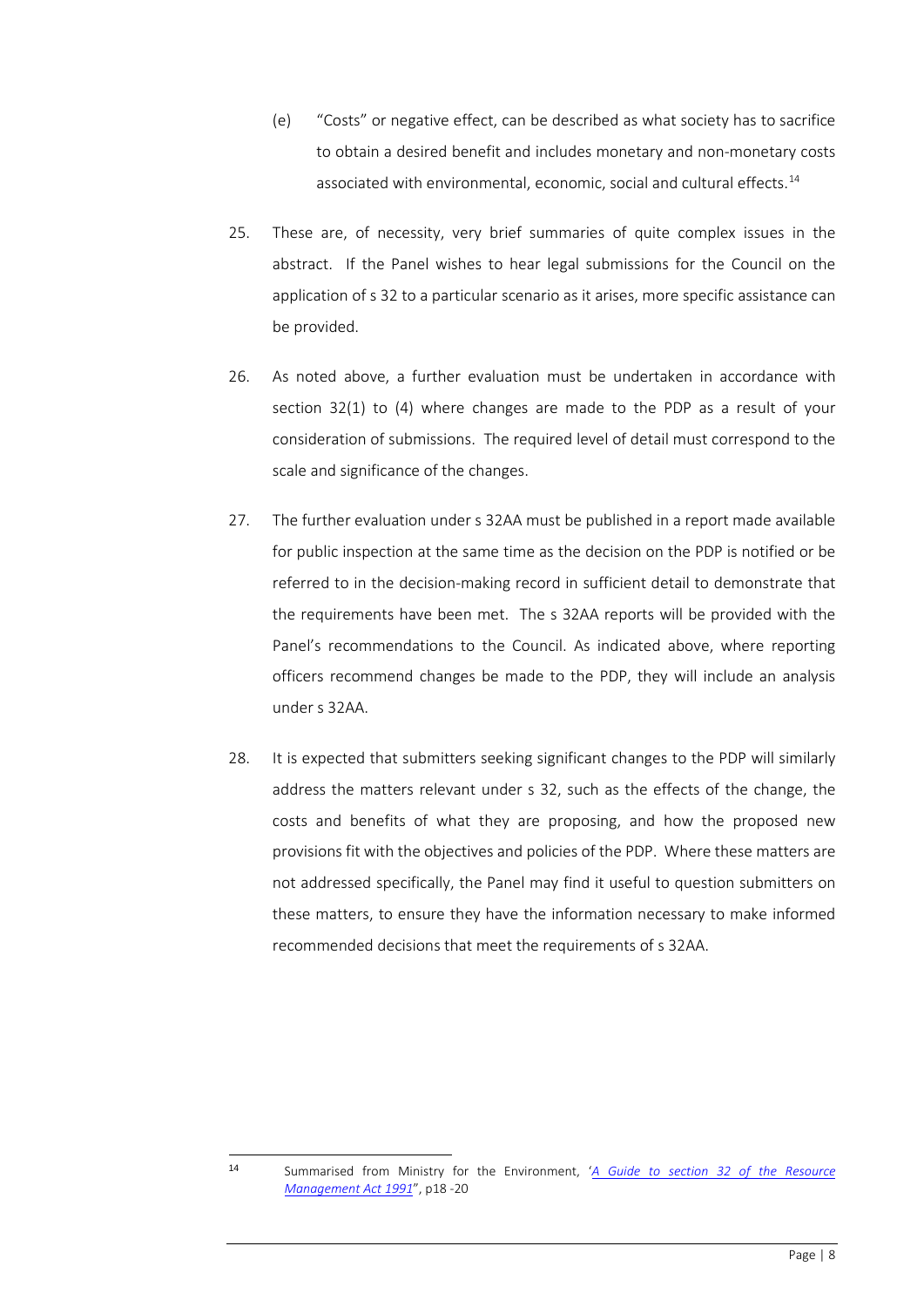- (e) "Costs" or negative effect, can be described as what society has to sacrifice to obtain a desired benefit and includes monetary and non-monetary costs associated with environmental, economic, social and cultural effects. [14](#page-7-0)
- 25. These are, of necessity, very brief summaries of quite complex issues in the abstract. If the Panel wishes to hear legal submissions for the Council on the application of s 32 to a particular scenario as it arises, more specific assistance can be provided.
- 26. As noted above, a further evaluation must be undertaken in accordance with section 32(1) to (4) where changes are made to the PDP as a result of your consideration of submissions. The required level of detail must correspond to the scale and significance of the changes.
- 27. The further evaluation under s 32AA must be published in a report made available for public inspection at the same time as the decision on the PDP is notified or be referred to in the decision-making record in sufficient detail to demonstrate that the requirements have been met. The s 32AA reports will be provided with the Panel's recommendations to the Council. As indicated above, where reporting officers recommend changes be made to the PDP, they will include an analysis under s 32AA.
- 28. It is expected that submitters seeking significant changes to the PDP will similarly address the matters relevant under s 32, such as the effects of the change, the costs and benefits of what they are proposing, and how the proposed new provisions fit with the objectives and policies of the PDP. Where these matters are not addressed specifically, the Panel may find it useful to question submitters on these matters, to ensure they have the information necessary to make informed recommended decisions that meet the requirements of s 32AA.

<span id="page-7-0"></span>

<sup>14</sup> Summarised from Ministry for the Environment, '*[A Guide to section 32 of the Resource](https://matthewcasey-my.sharepoint.com/:b:/g/personal/asher_casey_co_nz/EeEPRXQ0PRtKlyiPyWM6HeEBCDGR7DnxmLglgK62sikL2g?e=ks3hkt)  [Management Act 1991](https://matthewcasey-my.sharepoint.com/:b:/g/personal/asher_casey_co_nz/EeEPRXQ0PRtKlyiPyWM6HeEBCDGR7DnxmLglgK62sikL2g?e=ks3hkt)*", p18 -20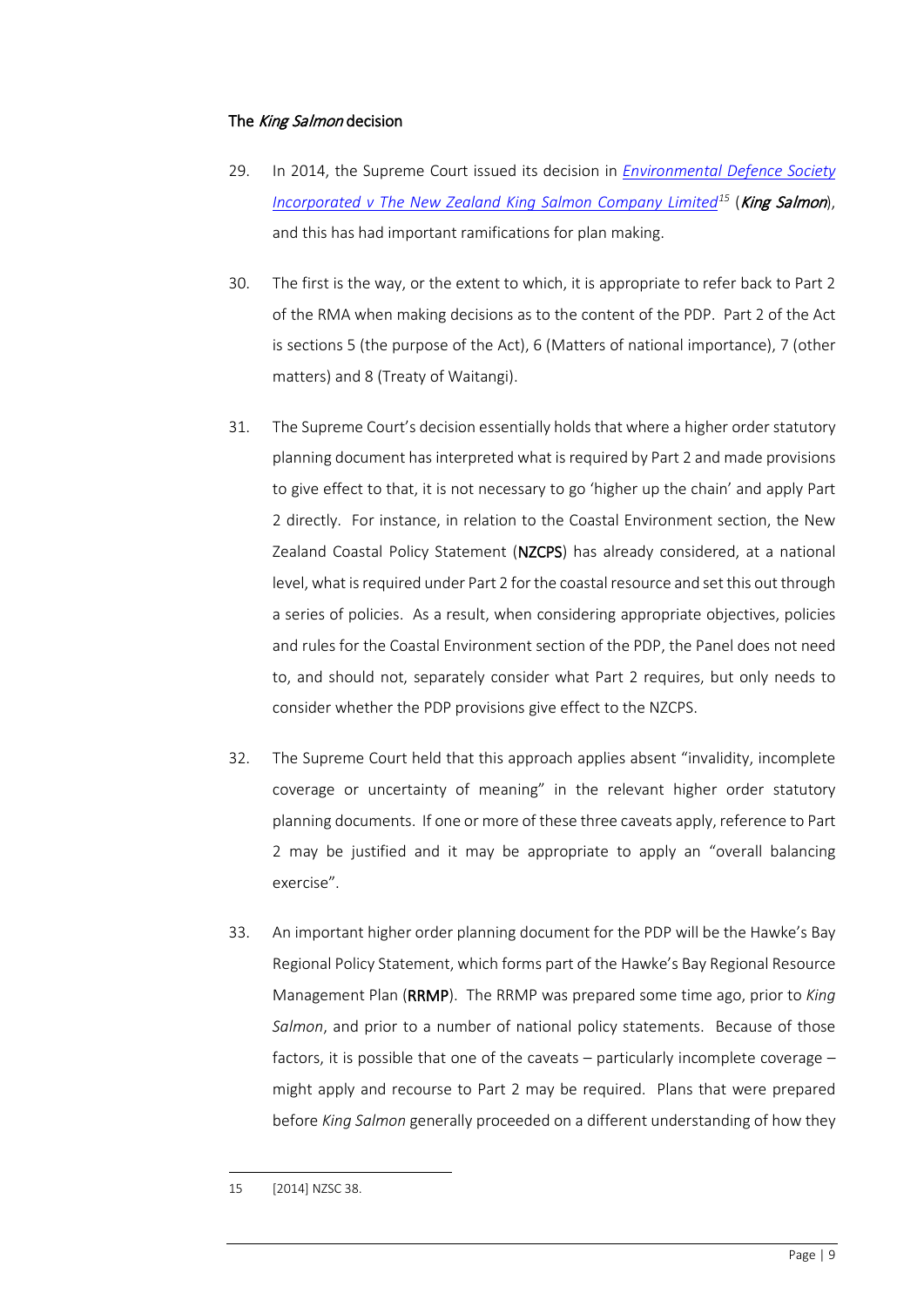## The King Salmon decision

- 29. In 2014, the Supreme Court issued its decision in *[Environmental Defence Society](https://matthewcasey-my.sharepoint.com/:b:/g/personal/asher_casey_co_nz/EWEz49iE-JRJi1HU1kevXDsB8rHj6nR2FZDGi32Kvl4T4w?e=TI5y7K)  [Incorporated v The New Zealand King Salmon Company Limited](https://matthewcasey-my.sharepoint.com/:b:/g/personal/asher_casey_co_nz/EWEz49iE-JRJi1HU1kevXDsB8rHj6nR2FZDGi32Kvl4T4w?e=TI5y7K)[15](#page-8-0)* (King Salmon), and this has had important ramifications for plan making.
- 30. The first is the way, or the extent to which, it is appropriate to refer back to Part 2 of the RMA when making decisions as to the content of the PDP. Part 2 of the Act is sections 5 (the purpose of the Act), 6 (Matters of national importance), 7 (other matters) and 8 (Treaty of Waitangi).
- 31. The Supreme Court's decision essentially holds that where a higher order statutory planning document has interpreted what is required by Part 2 and made provisions to give effect to that, it is not necessary to go 'higher up the chain' and apply Part 2 directly. For instance, in relation to the Coastal Environment section, the New Zealand Coastal Policy Statement (NZCPS) has already considered, at a national level, what is required under Part 2 for the coastal resource and set this out through a series of policies. As a result, when considering appropriate objectives, policies and rules for the Coastal Environment section of the PDP, the Panel does not need to, and should not, separately consider what Part 2 requires, but only needs to consider whether the PDP provisions give effect to the NZCPS.
- 32. The Supreme Court held that this approach applies absent "invalidity, incomplete coverage or uncertainty of meaning" in the relevant higher order statutory planning documents. If one or more of these three caveats apply, reference to Part 2 may be justified and it may be appropriate to apply an "overall balancing exercise".
- 33. An important higher order planning document for the PDP will be the Hawke's Bay Regional Policy Statement, which forms part of the Hawke's Bay Regional Resource Management Plan (RRMP). The RRMP was prepared some time ago, prior to *King Salmon*, and prior to a number of national policy statements. Because of those factors, it is possible that one of the caveats – particularly incomplete coverage – might apply and recourse to Part 2 may be required. Plans that were prepared before *King Salmon* generally proceeded on a different understanding of how they

<span id="page-8-0"></span><sup>15</sup> [2014] NZSC 38.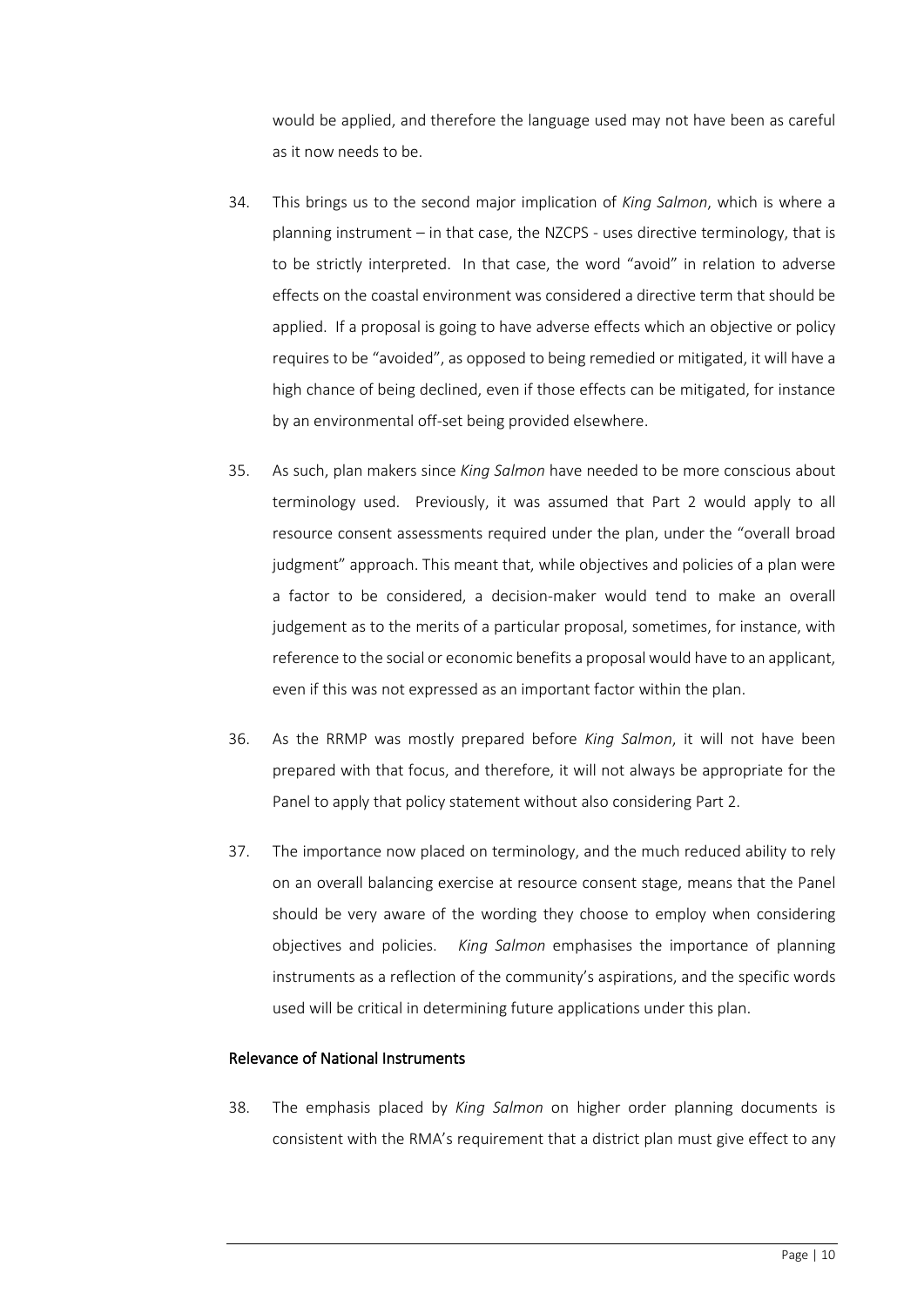would be applied, and therefore the language used may not have been as careful as it now needs to be.

- 34. This brings us to the second major implication of *King Salmon*, which is where a planning instrument – in that case, the NZCPS - uses directive terminology, that is to be strictly interpreted. In that case, the word "avoid" in relation to adverse effects on the coastal environment was considered a directive term that should be applied. If a proposal is going to have adverse effects which an objective or policy requires to be "avoided", as opposed to being remedied or mitigated, it will have a high chance of being declined, even if those effects can be mitigated, for instance by an environmental off-set being provided elsewhere.
- 35. As such, plan makers since *King Salmon* have needed to be more conscious about terminology used. Previously, it was assumed that Part 2 would apply to all resource consent assessments required under the plan, under the "overall broad judgment" approach. This meant that, while objectives and policies of a plan were a factor to be considered, a decision-maker would tend to make an overall judgement as to the merits of a particular proposal, sometimes, for instance, with reference to the social or economic benefits a proposal would have to an applicant, even if this was not expressed as an important factor within the plan.
- 36. As the RRMP was mostly prepared before *King Salmon*, it will not have been prepared with that focus, and therefore, it will not always be appropriate for the Panel to apply that policy statement without also considering Part 2.
- 37. The importance now placed on terminology, and the much reduced ability to rely on an overall balancing exercise at resource consent stage, means that the Panel should be very aware of the wording they choose to employ when considering objectives and policies. *King Salmon* emphasises the importance of planning instruments as a reflection of the community's aspirations, and the specific words used will be critical in determining future applications under this plan.

#### Relevance of National Instruments

38. The emphasis placed by *King Salmon* on higher order planning documents is consistent with the RMA's requirement that a district plan must give effect to any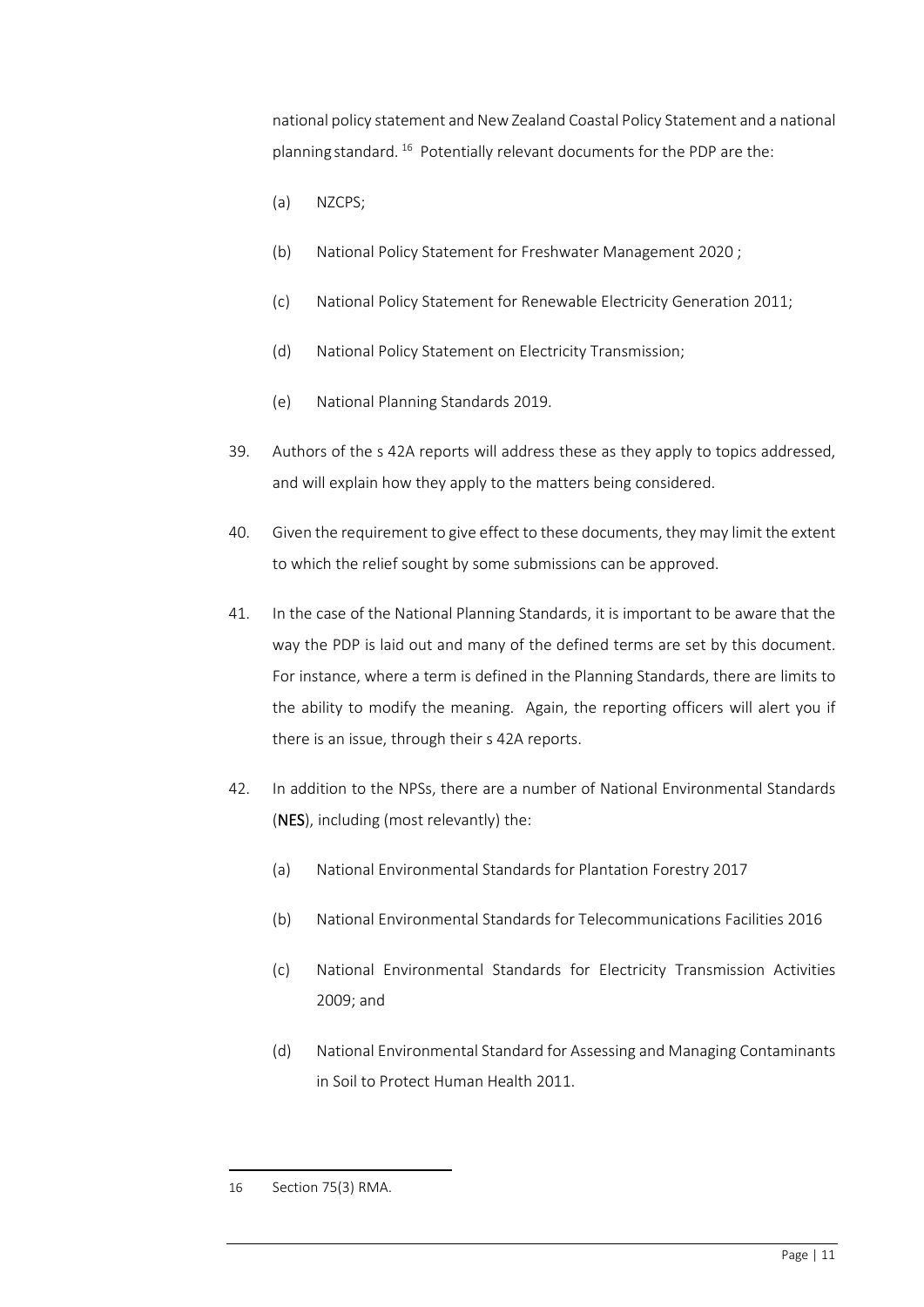national policy statement and New Zealand Coastal Policy Statement and a national planning standard. [16](#page-10-0) Potentially relevant documents for the PDP are the:

- (a) NZCPS;
- (b) National Policy Statement for Freshwater Management 2020 ;
- (c) National Policy Statement for Renewable Electricity Generation 2011;
- (d) National Policy Statement on Electricity Transmission;
- (e) National Planning Standards 2019.
- 39. Authors of the s 42A reports will address these as they apply to topics addressed, and will explain how they apply to the matters being considered.
- 40. Given the requirement to give effect to these documents, they may limit the extent to which the relief sought by some submissions can be approved.
- 41. In the case of the National Planning Standards, it is important to be aware that the way the PDP is laid out and many of the defined terms are set by this document. For instance, where a term is defined in the Planning Standards, there are limits to the ability to modify the meaning. Again, the reporting officers will alert you if there is an issue, through their s 42A reports.
- 42. In addition to the NPSs, there are a number of National Environmental Standards (NES), including (most relevantly) the:
	- (a) [National Environmental Standards for Plantation Forestry](https://environment.govt.nz/acts-and-regulations/regulations/national-environmental-standards-for-plantation-forestry/) 2017
	- (b) [National Environmental Standards for Telecommunications Facilities](https://environment.govt.nz/acts-and-regulations/regulations/national-environmental-standards-for-telecommunication-facilities/) 2016
	- (c) [National Environmental Standards for Electricity Transmission Activities](https://environment.govt.nz/acts-and-regulations/regulations/nes-electricity-transmission-activities/#:%7E:text=The%20NES%20only%20apply%20to,regional%20substations%20to%20electricity%20users.)  [2009;](https://environment.govt.nz/acts-and-regulations/regulations/nes-electricity-transmission-activities/#:%7E:text=The%20NES%20only%20apply%20to,regional%20substations%20to%20electricity%20users.) and
	- (d) [National Environmental Standard for Assessing and Managing Contaminants](https://environment.govt.nz/acts-and-regulations/regulations/national-environmental-standard-for-assessing-and-managing-contaminants-in-soil-to-protect-human-health/)  [in Soil to Protect Human Health 2011.](https://environment.govt.nz/acts-and-regulations/regulations/national-environmental-standard-for-assessing-and-managing-contaminants-in-soil-to-protect-human-health/)

<span id="page-10-0"></span><sup>16</sup> Section 75(3) RMA.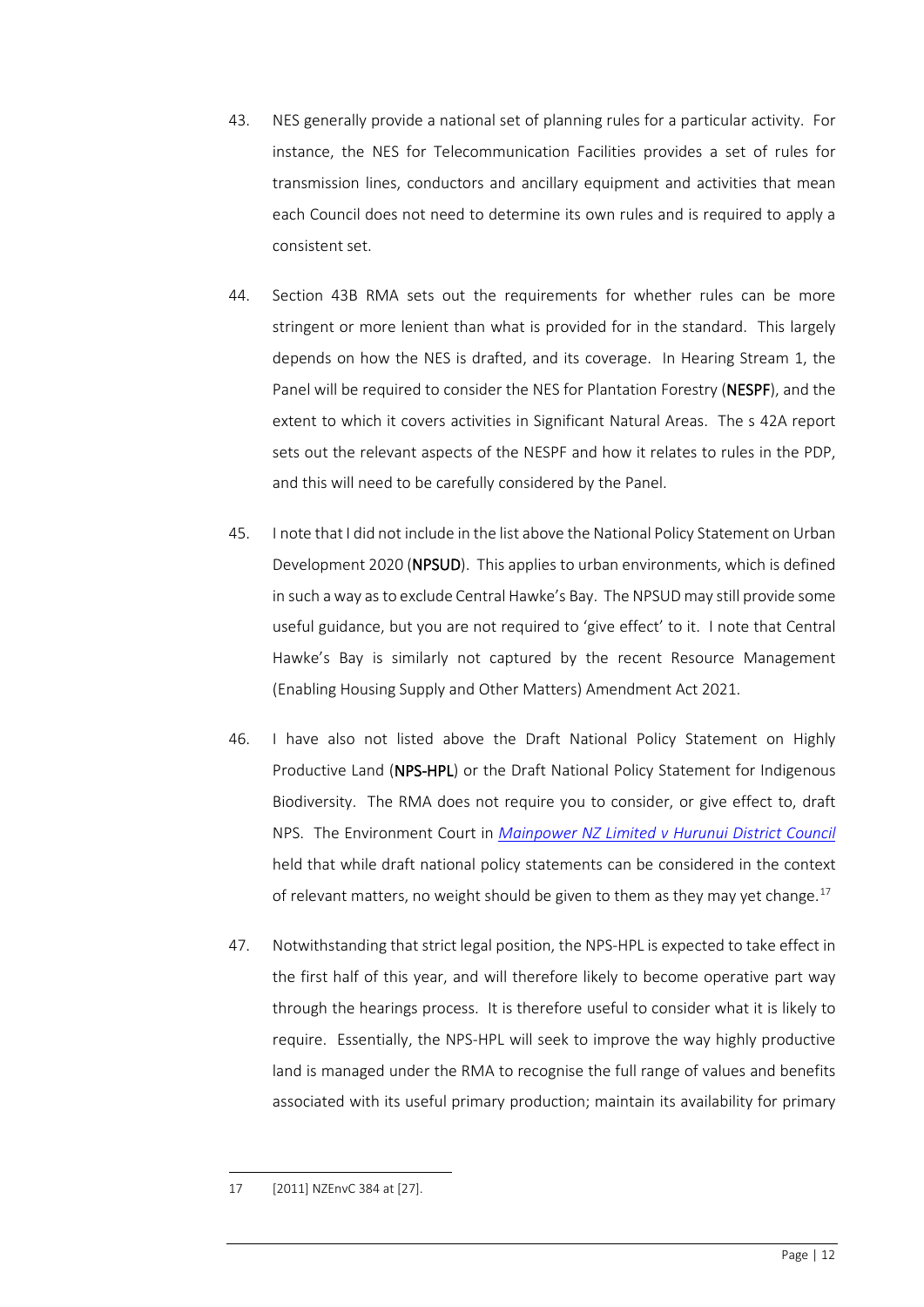- 43. NES generally provide a national set of planning rules for a particular activity. For instance, the NES for Telecommunication Facilities provides a set of rules for transmission lines, conductors and ancillary equipment and activities that mean each Council does not need to determine its own rules and is required to apply a consistent set.
- 44. Section 43B RMA sets out the requirements for whether rules can be more stringent or more lenient than what is provided for in the standard. This largely depends on how the NES is drafted, and its coverage. In Hearing Stream 1, the Panel will be required to consider the NES for Plantation Forestry (NESPF), and the extent to which it covers activities in Significant Natural Areas. The s 42A report sets out the relevant aspects of the NESPF and how it relates to rules in the PDP, and this will need to be carefully considered by the Panel.
- 45. I note that I did not include in the list above the National Policy Statement on Urban Development 2020 (NPSUD). This applies to urban environments, which is defined in such a way as to exclude Central Hawke's Bay. The NPSUD may still provide some useful guidance, but you are not required to 'give effect' to it. I note that Central Hawke's Bay is similarly not captured by the recent Resource Management (Enabling Housing Supply and Other Matters) Amendment Act 2021.
- 46. I have also not listed above the Draft National Policy Statement on Highly Productive Land (NPS-HPL) or the Draft National Policy Statement for Indigenous Biodiversity. The RMA does not require you to consider, or give effect to, draft NPS. The Environment Court in *[Mainpower NZ Limited v Hurunui District Council](https://matthewcasey-my.sharepoint.com/:b:/g/personal/asher_casey_co_nz/ERZPfdyAWApFlDw6Z_LAfgsBFpmQE06zbmNKsU73iihPGA?e=zRooYs)* held that while draft national policy statements can be considered in the context of relevant matters, no weight should be given to them as they may yet change.<sup>[17](#page-11-0)</sup>
- 47. Notwithstanding that strict legal position, the NPS-HPL is expected to take effect in the first half of this year, and will therefore likely to become operative part way through the hearings process. It is therefore useful to consider what it is likely to require. Essentially, the NPS-HPL will seek to improve the way highly productive land is managed under the RMA to recognise the full range of values and benefits associated with its useful primary production; maintain its availability for primary

<span id="page-11-0"></span><sup>17</sup> [2011] NZEnvC 384 at [27].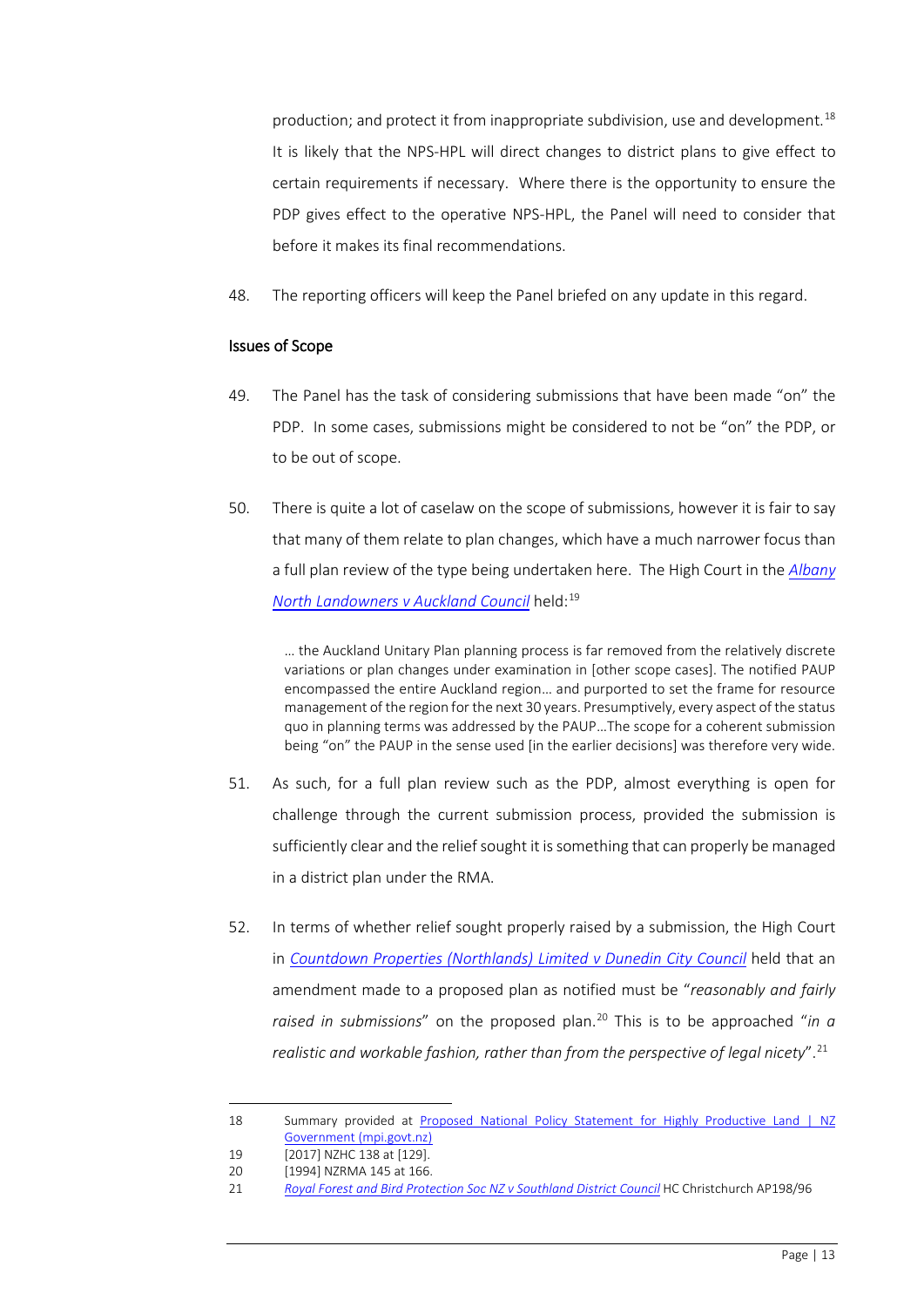production; and protect it from inappropriate subdivision, use and development.[18](#page-12-0) It is likely that the NPS-HPL will direct changes to district plans to give effect to certain requirements if necessary. Where there is the opportunity to ensure the PDP gives effect to the operative NPS-HPL, the Panel will need to consider that before it makes its final recommendations.

48. The reporting officers will keep the Panel briefed on any update in this regard.

#### Issues of Scope

- 49. The Panel has the task of considering submissions that have been made "on" the PDP. In some cases, submissions might be considered to not be "on" the PDP, or to be out of scope.
- 50. There is quite a lot of caselaw on the scope of submissions, however it is fair to say that many of them relate to plan changes, which have a much narrower focus than a full plan review of the type being undertaken here. The High Court in the *[Albany](https://matthewcasey-my.sharepoint.com/:b:/g/personal/asher_casey_co_nz/EV-8r8kscAhAkI0LrdVWQXQBzlizIZo8gzWQiEDs_01EZw?e=04mfXc)  North Landowners [v Auckland Council](https://matthewcasey-my.sharepoint.com/:b:/g/personal/asher_casey_co_nz/EV-8r8kscAhAkI0LrdVWQXQBzlizIZo8gzWQiEDs_01EZw?e=04mfXc)* held: [19](#page-12-1)

… the Auckland Unitary Plan planning process is far removed from the relatively discrete variations or plan changes under examination in [other scope cases]. The notified PAUP encompassed the entire Auckland region… and purported to set the frame for resource management of the region for the next 30 years. Presumptively, every aspect of the status quo in planning terms was addressed by the PAUP…The scope for a coherent submission being "on" the PAUP in the sense used [in the earlier decisions] was therefore very wide.

- 51. As such, for a full plan review such as the PDP, almost everything is open for challenge through the current submission process, provided the submission is sufficiently clear and the relief sought it is something that can properly be managed in a district plan under the RMA.
- 52. In terms of whether relief sought properly raised by a submission, the High Court in *[Countdown Properties \(Northlands\) Limited v Dunedin City Council](https://matthewcasey-my.sharepoint.com/:b:/g/personal/asher_casey_co_nz/EQmMGoXgfThPm4CWiOIxADkB-sBaLnGqm90OLx-lNCzhng?e=Bls2ZI)* held that an amendment made to a proposed plan as notified must be "*reasonably and fairly raised in submissions*" on the proposed plan.<sup>[20](#page-12-2)</sup> This is to be approached "*in a realistic and workable fashion, rather than from the perspective of legal nicety*".[21](#page-12-3)

<span id="page-12-0"></span><sup>18</sup> Summary provided at [Proposed National Policy Statement for Highly Productive Land | NZ](https://www.mpi.govt.nz/consultations/proposed-national-policy-statement-for-highly-productive-land/#:%7E:text=The%20overall%20purpose%20of%20the,primary%20production%20for%20future%20generations)  [Government \(mpi.govt.nz\)](https://www.mpi.govt.nz/consultations/proposed-national-policy-statement-for-highly-productive-land/#:%7E:text=The%20overall%20purpose%20of%20the,primary%20production%20for%20future%20generations)

<span id="page-12-1"></span><sup>19</sup> [2017] NZHC 138 at [129].

<span id="page-12-2"></span><sup>20</sup> [1994] NZRMA 145 at 166.

<span id="page-12-3"></span><sup>21</sup> *[Royal Forest and Bird Protection Soc NZ v Southland District Council](https://matthewcasey-my.sharepoint.com/:b:/g/personal/asher_casey_co_nz/EXLb6oBZo8ZHkdvWnlYfWKkBHSvqTrVfanZNIoftExyhpg?e=sAUlqU)* HC Christchurch AP198/96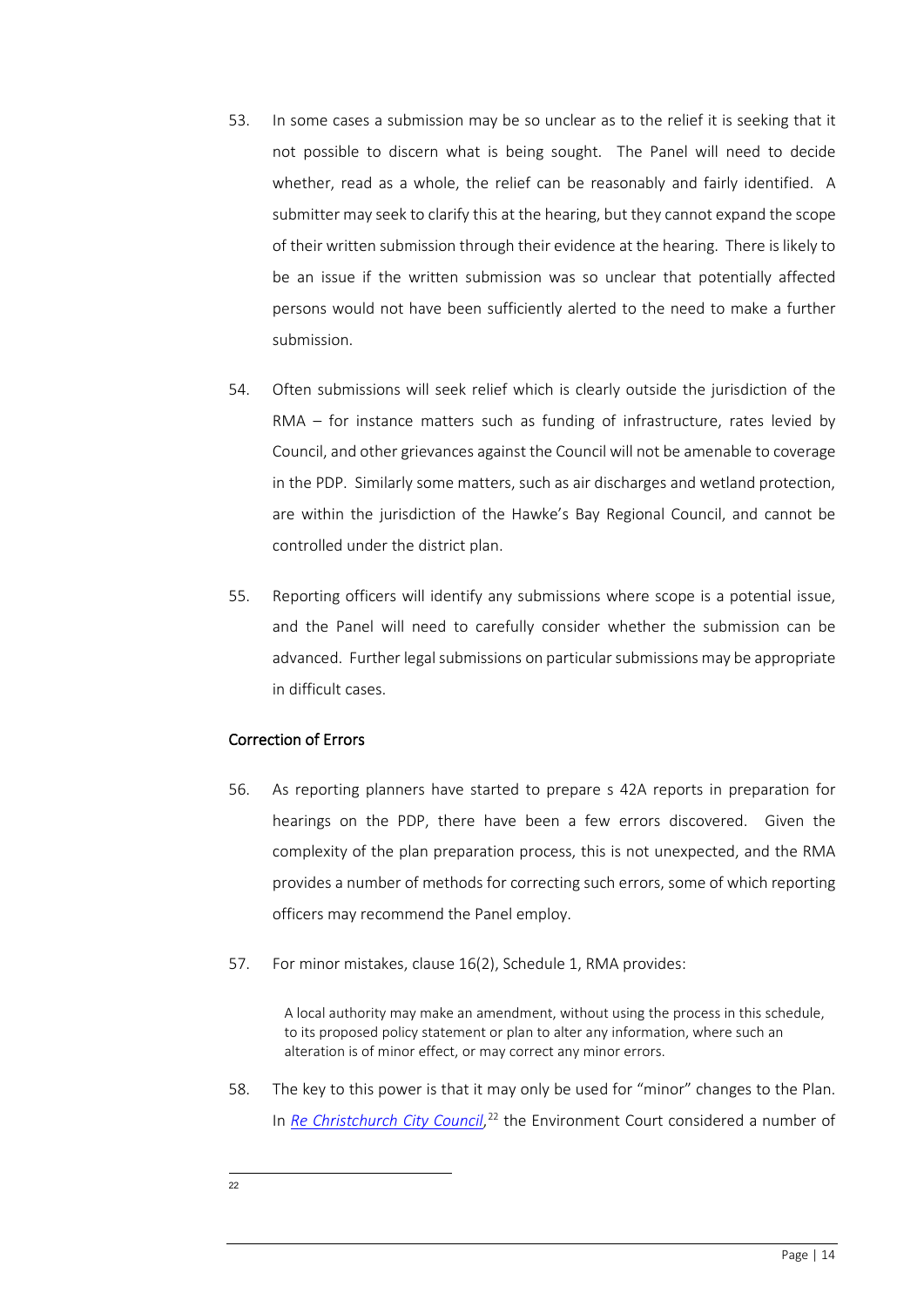- 53. In some cases a submission may be so unclear as to the relief it is seeking that it not possible to discern what is being sought. The Panel will need to decide whether, read as a whole, the relief can be reasonably and fairly identified. A submitter may seek to clarify this at the hearing, but they cannot expand the scope of their written submission through their evidence at the hearing. There is likely to be an issue if the written submission was so unclear that potentially affected persons would not have been sufficiently alerted to the need to make a further submission.
- 54. Often submissions will seek relief which is clearly outside the jurisdiction of the RMA – for instance matters such as funding of infrastructure, rates levied by Council, and other grievances against the Council will not be amenable to coverage in the PDP. Similarly some matters, such as air discharges and wetland protection, are within the jurisdiction of the Hawke's Bay Regional Council, and cannot be controlled under the district plan.
- 55. Reporting officers will identify any submissions where scope is a potential issue, and the Panel will need to carefully consider whether the submission can be advanced. Further legal submissions on particular submissions may be appropriate in difficult cases.

## Correction of Errors

- 56. As reporting planners have started to prepare s 42A reports in preparation for hearings on the PDP, there have been a few errors discovered. Given the complexity of the plan preparation process, this is not unexpected, and the RMA provides a number of methods for correcting such errors, some of which reporting officers may recommend the Panel employ.
- 57. For minor mistakes, clause 16(2), Schedule 1, RMA provides:

A local authority may make an amendment, without using the process in this schedule, to its proposed policy statement or plan to alter any information, where such an alteration is of minor effect, or may correct any minor errors.

<span id="page-13-0"></span>58. The key to this power is that it may only be used for "minor" changes to the Plan. In *[Re Christchurch City Council](https://matthewcasey-my.sharepoint.com/:b:/g/personal/asher_casey_co_nz/EaAloo0Y94FJrRhuoPNtlj0BfidQN_Um9TBRtK_ruYKHXg?e=6gMsZo)*, [22](#page-13-0) the Environment Court considered a number of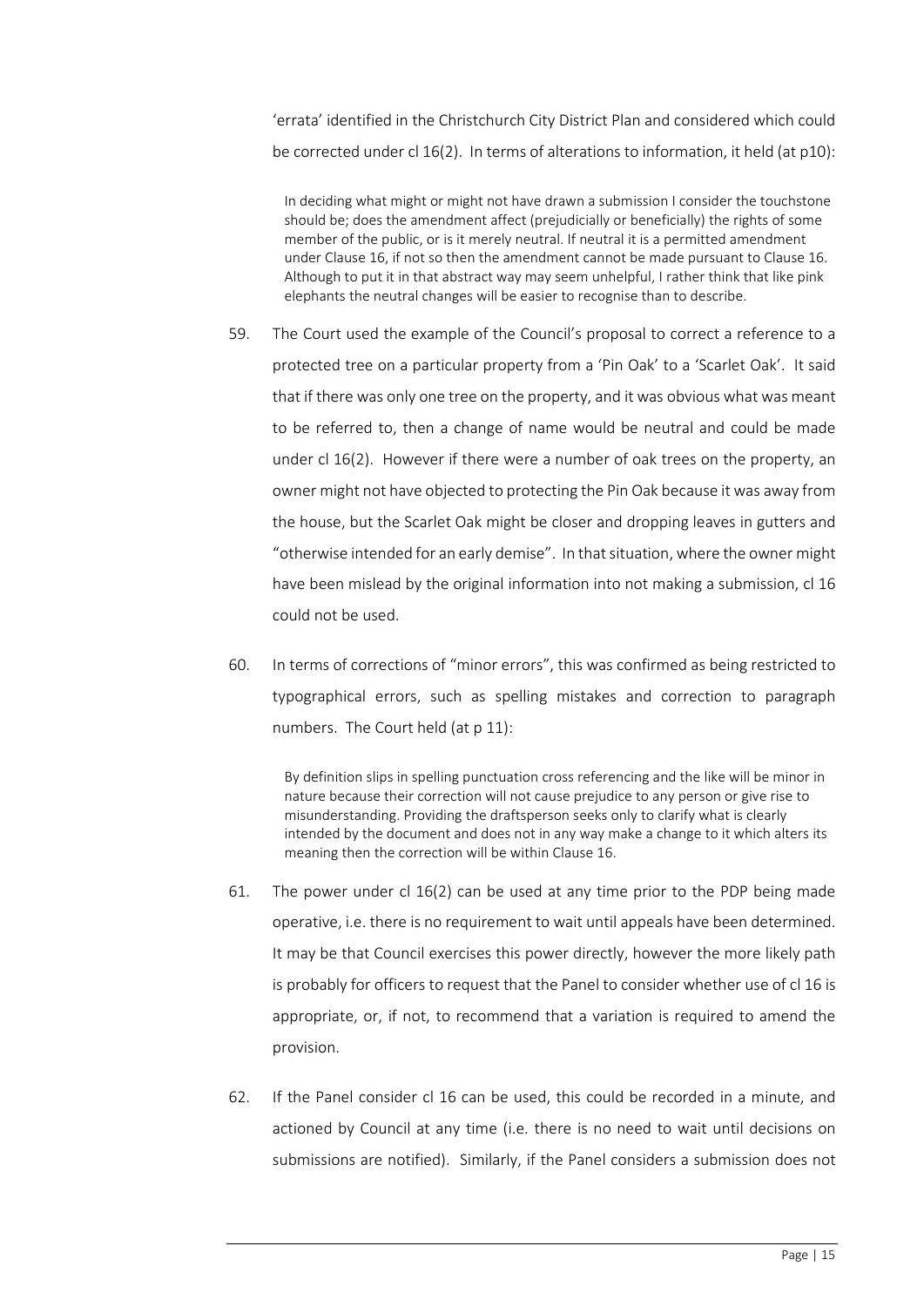'errata' identified in the Christchurch City District Plan and considered which could be corrected under cl 16(2). In terms of alterations to information, it held (at p10):

In deciding what might or might not have drawn a submission I consider the touchstone should be; does the amendment affect (prejudicially or beneficially) the rights of some member of the public, or is it merely neutral. If neutral it is a permitted amendment under Clause 16, if not so then the amendment cannot be made pursuant to Clause 16. Although to put it in that abstract way may seem unhelpful, I rather think that like pink elephants the neutral changes will be easier to recognise than to describe.

- 59. The Court used the example of the Council's proposal to correct a reference to a protected tree on a particular property from a 'Pin Oak' to a 'Scarlet Oak'. It said that if there was only one tree on the property, and it was obvious what was meant to be referred to, then a change of name would be neutral and could be made under cl 16(2). However if there were a number of oak trees on the property, an owner might not have objected to protecting the Pin Oak because it was away from the house, but the Scarlet Oak might be closer and dropping leaves in gutters and "otherwise intended for an early demise". In that situation, where the owner might have been mislead by the original information into not making a submission, cl 16 could not be used.
- 60. In terms of corrections of "minor errors", this was confirmed as being restricted to typographical errors, such as spelling mistakes and correction to paragraph numbers. The Court held (at p 11):

By definition slips in spelling punctuation cross referencing and the like will be minor in nature because their correction will not cause prejudice to any person or give rise to misunderstanding. Providing the draftsperson seeks only to clarify what is clearly intended by the document and does not in any way make a change to it which alters its meaning then the correction will be within Clause 16.

- 61. The power under cl 16(2) can be used at any time prior to the PDP being made operative, i.e. there is no requirement to wait until appeals have been determined. It may be that Council exercises this power directly, however the more likely path is probably for officers to request that the Panel to consider whether use of cl 16 is appropriate, or, if not, to recommend that a variation is required to amend the provision.
- 62. If the Panel consider cl 16 can be used, this could be recorded in a minute, and actioned by Council at any time (i.e. there is no need to wait until decisions on submissions are notified). Similarly, if the Panel considers a submission does not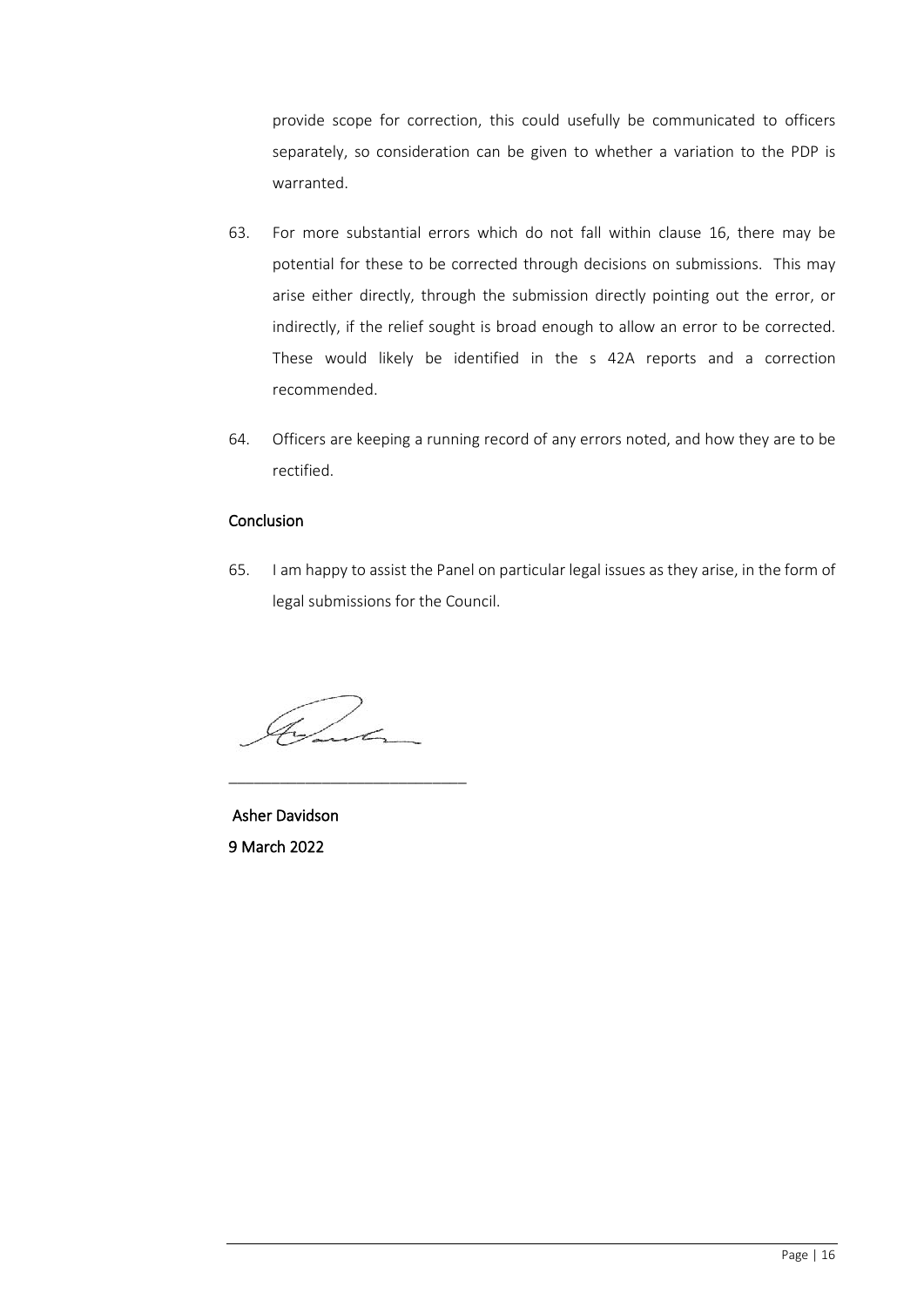provide scope for correction, this could usefully be communicated to officers separately, so consideration can be given to whether a variation to the PDP is warranted.

- 63. For more substantial errors which do not fall within clause 16, there may be potential for these to be corrected through decisions on submissions. This may arise either directly, through the submission directly pointing out the error, or indirectly, if the relief sought is broad enough to allow an error to be corrected. These would likely be identified in the s 42A reports and a correction recommended.
- 64. Officers are keeping a running record of any errors noted, and how they are to be rectified.

## Conclusion

65. I am happy to assist the Panel on particular legal issues as they arise, in the form of legal submissions for the Council.

Come

\_\_\_\_\_\_\_\_\_\_\_\_\_\_\_\_\_\_\_\_\_\_\_\_\_\_\_\_

 Asher Davidson 9 March 2022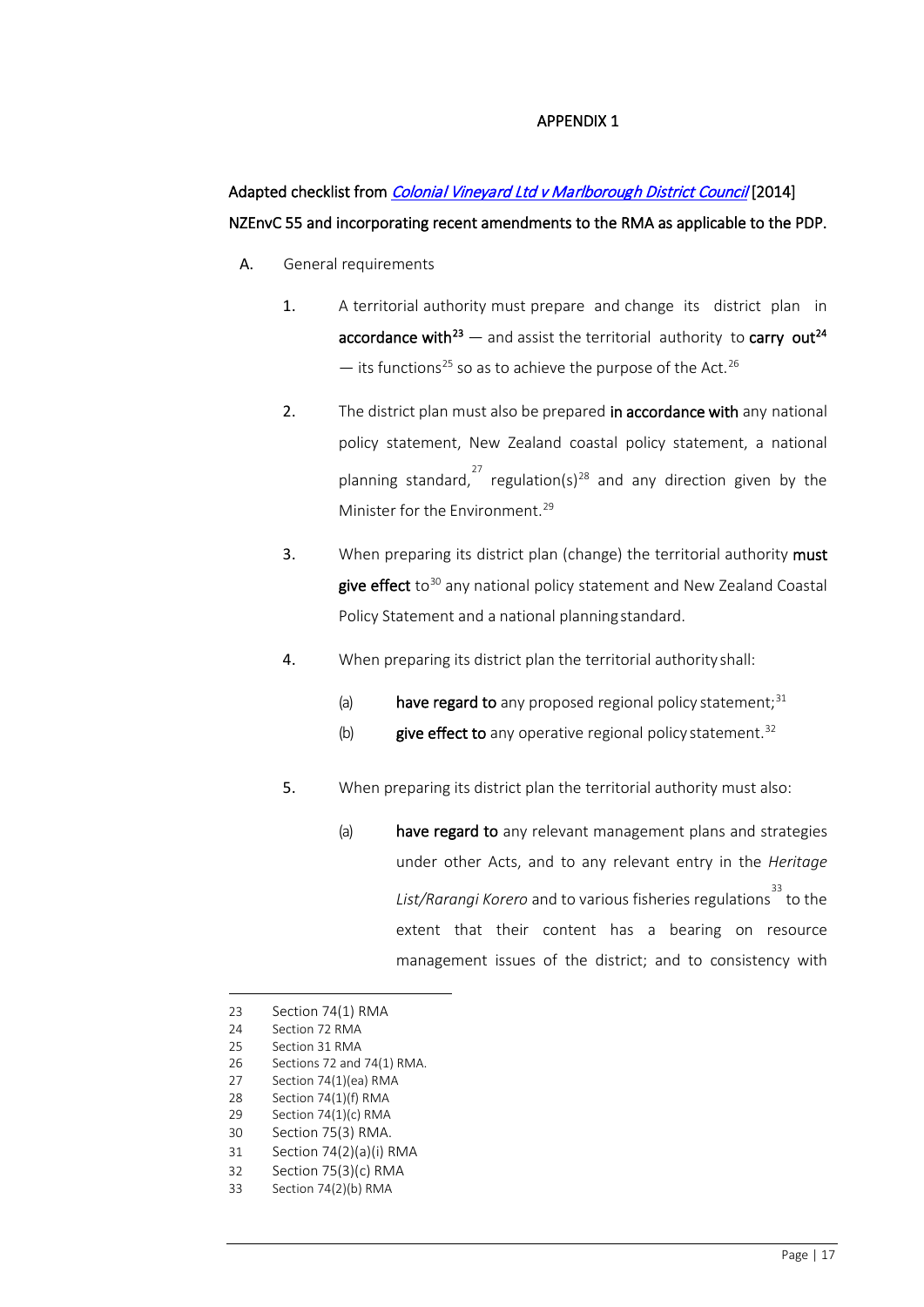#### APPENDIX 1

# Adapted checklist from *Colonial Vineyard Ltd v Marlborough District Council* [2014] NZEnvC 55 and incorporating recent amendments to the RMA as applicable to the PDP.

- A. General requirements
	- 1. A territorial authority must prepare and change its district plan in accordance with<sup>[23](#page-16-0)</sup> — and assist the territorial authority to carry out<sup>[24](#page-16-1)</sup>  $-$  its functions<sup>[25](#page-16-2)</sup> so as to achieve the purpose of the Act.<sup>26</sup>
	- 2. The district plan must also be prepared in accordance with any national policy statement, New Zealand coastal policy statement, a national planning standard,<sup>[27](#page-16-4)</sup> regulation(s)<sup>[28](#page-16-5)</sup> and any direction given by the Minister for the Environment.<sup>[29](#page-16-6)</sup>
	- 3. When preparing its district plan (change) the territorial authority must give effect to<sup>[30](#page-16-7)</sup> any national policy statement and New Zealand Coastal Policy Statement and a national planningstandard.
	- 4. When preparing its district plan the territorial authority shall:
		- (a) have regard to any proposed regional policy statement; $31$
		- (b) give effect to any operative regional policy statement. $32$
	- 5. When preparing its district plan the territorial authority must also:
		- (a) have regard to any relevant management plans and strategies under other Acts, and to any relevant entry in the *Heritage List/Rarangi Korero* and to various fisheries regulations [33](#page-16-10) to the extent that their content has a bearing on resource management issues of the district; and to consistency with

<span id="page-16-9"></span>31 Section 74(2)(a)(i) RMA

<span id="page-16-0"></span><sup>23</sup> Section 74(1) RMA

<span id="page-16-1"></span><sup>24</sup> Section 72 RMA

<span id="page-16-2"></span><sup>25</sup> Section 31 RMA

<sup>26</sup> Sections 72 and 74(1) RMA.

<span id="page-16-4"></span><span id="page-16-3"></span><sup>27</sup> Section 74(1)(ea) RMA

<sup>28</sup> Section 74(1)(f) RMA

<span id="page-16-5"></span><sup>29</sup> Section 74(1)(c) RMA

<span id="page-16-8"></span><span id="page-16-7"></span><span id="page-16-6"></span><sup>30</sup> Section 75(3) RMA.

<sup>32</sup> Section 75(3)(c) RMA

<span id="page-16-10"></span><sup>33</sup> Section 74(2)(b) RMA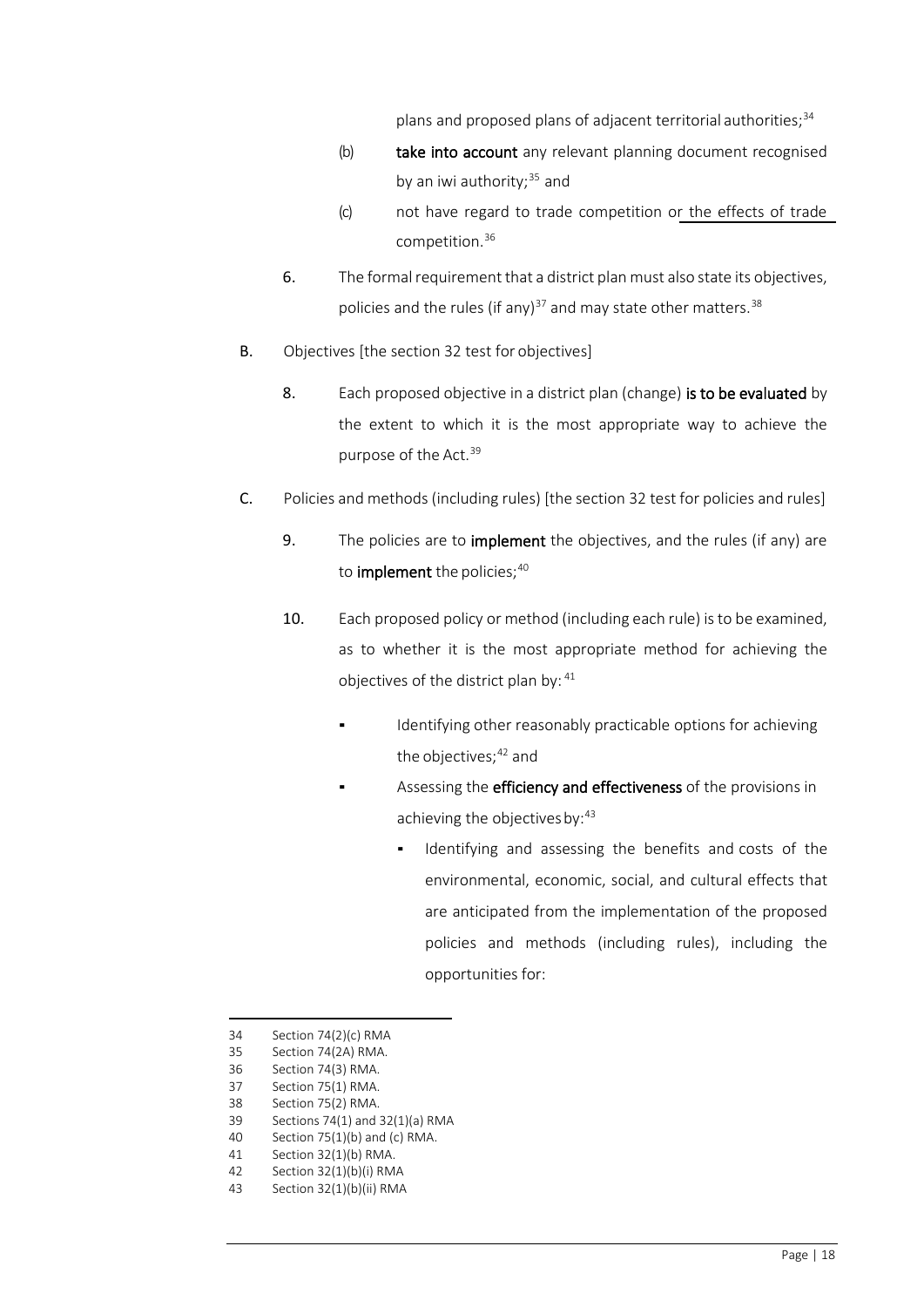plans and proposed plans of adjacent territorial authorities;<sup>[34](#page-17-0)</sup>

- (b) take into account any relevant planning document recognised by an iwi authority; $35$  and
- (c) not have regard to trade competition or the effects of trade competition.[36](#page-17-2)
- 6. The formal requirement that a district plan must also state its objectives, policies and the rules (if any) $37$  and may state other matters.  $38$
- B. Objectives [the section 32 test for objectives]
	- 8. Each proposed objective in a district plan (change) is to be evaluated by the extent to which it is the most appropriate way to achieve the purpose of the Act.<sup>[39](#page-17-5)</sup>
- C. Policies and methods(including rules) [the section 32 test for policies and rules]
	- 9. The policies are to *implement* the objectives, and the rules (if any) are to **implement** the policies;  $40$
	- 10. Each proposed policy or method (including each rule) is to be examined, as to whether it is the most appropriate method for achieving the objectives of the district plan by: [41](#page-17-7)
		- Identifying other reasonably practicable options for achieving the objectives;<sup>[42](#page-17-8)</sup> and
			- Assessing the efficiency and effectiveness of the provisions in achieving the objectives by: [43](#page-17-9)
				- Identifying and assessing the benefits and costs of the environmental, economic, social, and cultural effects that are anticipated from the implementation of the proposed policies and methods (including rules), including the opportunities for:

<span id="page-17-0"></span><sup>34</sup> Section 74(2)(c) RMA

<sup>35</sup> Section 74(2A) RMA.

<span id="page-17-3"></span><span id="page-17-2"></span><span id="page-17-1"></span><sup>36</sup> Section 74(3) RMA.

<sup>37</sup> Section 75(1) RMA.

<sup>38</sup> Section 75(2) RMA.

<span id="page-17-6"></span><span id="page-17-5"></span><span id="page-17-4"></span><sup>39</sup> Sections 74(1) and 32(1)(a) RMA

<sup>40</sup> Section 75(1)(b) and (c) RMA.

<span id="page-17-7"></span><sup>41</sup> Section 32(1)(b) RMA.

<span id="page-17-9"></span><span id="page-17-8"></span><sup>42</sup> Section 32(1)(b)(i) RMA

<sup>43</sup> Section 32(1)(b)(ii) RMA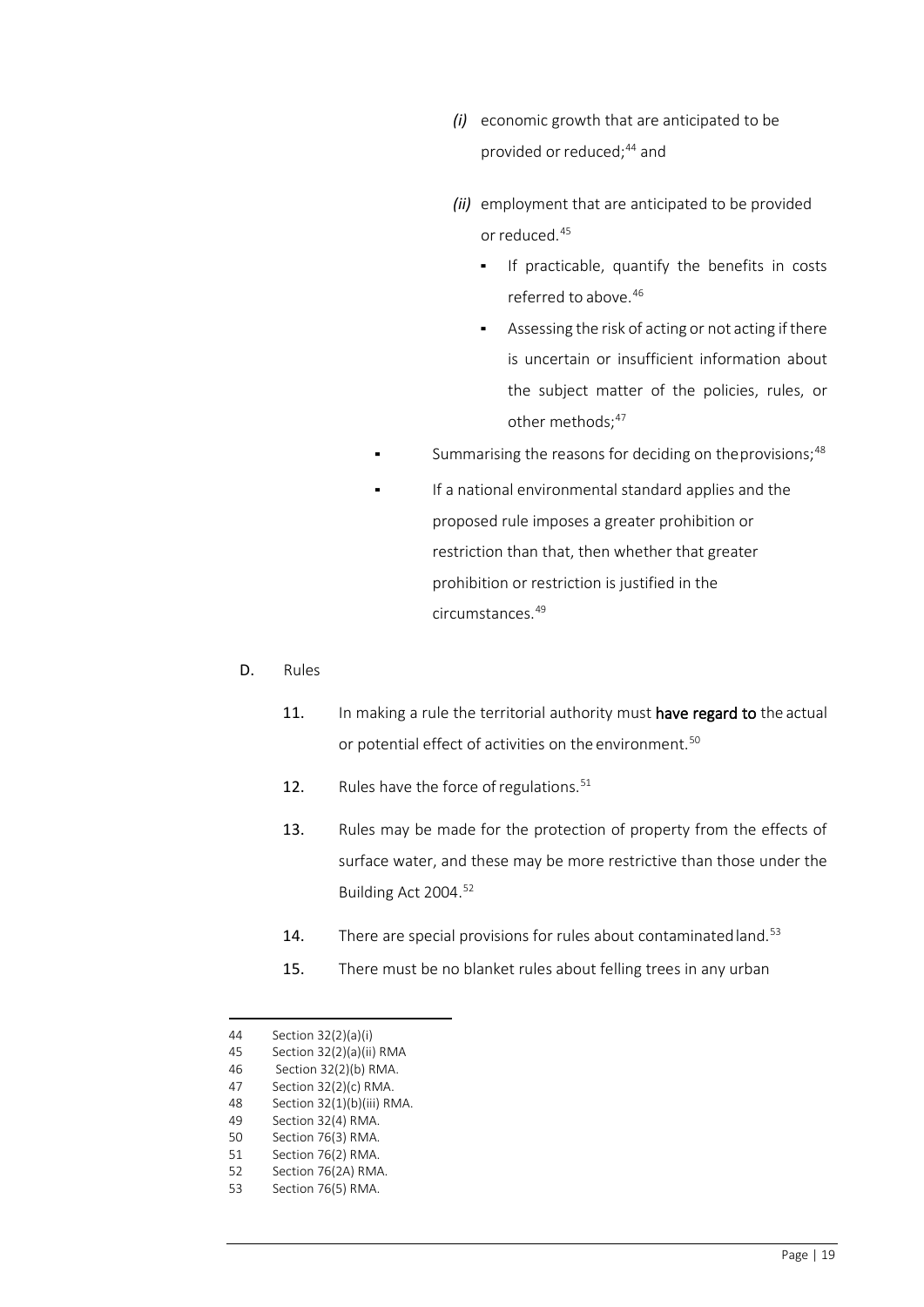- *(i)* economic growth that are anticipated to be provided or reduced;<sup>[44](#page-18-0)</sup> and
- *(ii)* employment that are anticipated to be provided or reduced.<sup>[45](#page-18-1)</sup>
	- If practicable, quantify the benefits in costs referred to above. [46](#page-18-2)
	- Assessing the risk of acting or not acting if there is uncertain or insufficient information about the subject matter of the policies, rules, or other methods;<sup>[47](#page-18-3)</sup>
- Summarising the reasons for deciding on the provisions;<sup>[48](#page-18-4)</sup>
- If a national environmental standard applies and the proposed rule imposes a greater prohibition or restriction than that, then whether that greater prohibition or restriction is justified in the circumstances.[49](#page-18-5)
- D. Rules
	- 11. In making a rule the territorial authority must have regard to the actual or potential effect of activities on the environment.<sup>[50](#page-18-6)</sup>
	- 12. Rules have the force of regulations. $51$
	- 13. Rules may be made for the protection of property from the effects of surface water, and these may be more restrictive than those under the Building Act 2004.<sup>[52](#page-18-8)</sup>
	- 14. There are special provisions for rules about contaminated land.<sup>[53](#page-18-9)</sup>
	- 15. There must be no blanket rules about felling trees in any urban

- 47 Section 32(2)(c) RMA.
- 48 Section 32(1)(b)(iii) RMA.
- 49 Section 32(4) RMA.
- <span id="page-18-7"></span><span id="page-18-6"></span><span id="page-18-5"></span><span id="page-18-4"></span>50 Section 76(3) RMA.
- 51 Section 76(2) RMA.
- <span id="page-18-9"></span><span id="page-18-8"></span>52 Section 76(2A) RMA. 53 Section 76(5) RMA.

<span id="page-18-0"></span><sup>44</sup> Section 32(2)(a)(i)

<span id="page-18-1"></span><sup>45</sup> Section 32(2)(a)(ii) RMA

<span id="page-18-3"></span><span id="page-18-2"></span><sup>46</sup> Section 32(2)(b) RMA.